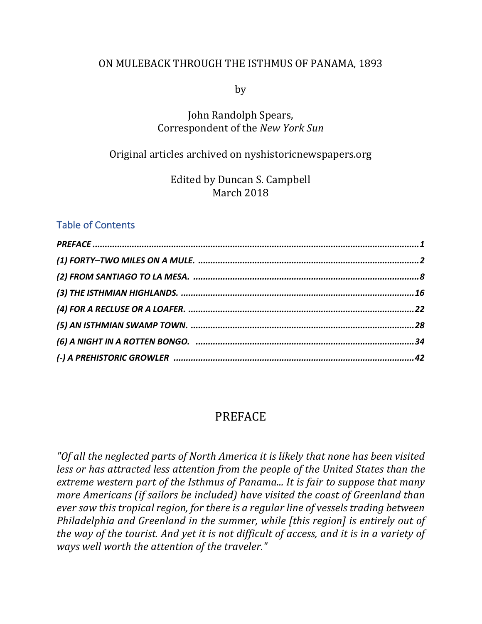#### ON MULEBACK THROUGH THE ISTHMUS OF PANAMA, 1893

by

### John Randolph Spears, Correspondent of the *New York Sun*

### Original articles archived on nyshistoricnewspapers.org

Edited by Duncan S. Campbell March 2018

#### Table of Contents

### PREFACE

"Of all the neglected parts of North America it is likely that none has been visited *less or has attracted less attention from the people of the United States than the extreme* western part of the Isthmus of Panama... It is fair to suppose that many *more Americans (if sailors be included) have visited the coast of Greenland than ever saw this tropical region, for there is a regular line of vessels trading between Philadelphia and Greenland in the summer, while [this region] is entirely out of the way of the tourist. And yet it is not difficult of access, and it is in a variety of ways well worth the attention of the traveler."*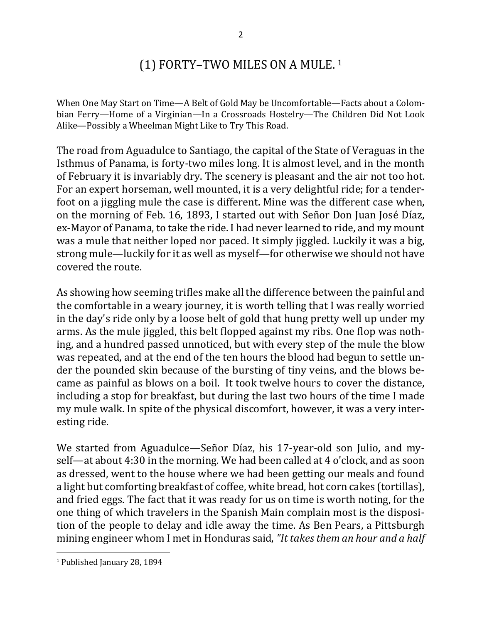## (1) FORTY-TWO MILES ON A MULE.  $1$

When One May Start on Time—A Belt of Gold May be Uncomfortable—Facts about a Colombian Ferry—Home of a Virginian—In a Crossroads Hostelry—The Children Did Not Look Alike—Possibly a Wheelman Might Like to Try This Road.

The road from Aguadulce to Santiago, the capital of the State of Veraguas in the Isthmus of Panama, is forty-two miles long. It is almost level, and in the month of February it is invariably dry. The scenery is pleasant and the air not too hot. For an expert horseman, well mounted, it is a very delightful ride; for a tenderfoot on a jiggling mule the case is different. Mine was the different case when, on the morning of Feb. 16, 1893, I started out with Señor Don Juan José Díaz, ex-Mayor of Panama, to take the ride. I had never learned to ride, and my mount was a mule that neither loped nor paced. It simply jiggled. Luckily it was a big, strong mule—luckily for it as well as myself—for otherwise we should not have covered the route.

As showing how seeming trifles make all the difference between the painful and the comfortable in a weary journey, it is worth telling that I was really worried in the day's ride only by a loose belt of gold that hung pretty well up under my arms. As the mule jiggled, this belt flopped against my ribs. One flop was nothing, and a hundred passed unnoticed, but with every step of the mule the blow was repeated, and at the end of the ten hours the blood had begun to settle under the pounded skin because of the bursting of tiny veins, and the blows became as painful as blows on a boil. It took twelve hours to cover the distance, including a stop for breakfast, but during the last two hours of the time I made my mule walk. In spite of the physical discomfort, however, it was a very interesting ride.

We started from Aguadulce—Señor Díaz, his 17-year-old son Julio, and myself—at about 4:30 in the morning. We had been called at 4 o'clock, and as soon as dressed, went to the house where we had been getting our meals and found a light but comforting breakfast of coffee, white bread, hot corn cakes (tortillas), and fried eggs. The fact that it was ready for us on time is worth noting, for the one thing of which travelers in the Spanish Main complain most is the disposition of the people to delay and idle away the time. As Ben Pears, a Pittsburgh mining engineer whom I met in Honduras said, "It takes them an hour and a half

<sup>&</sup>lt;sup>1</sup> Published January 28, 1894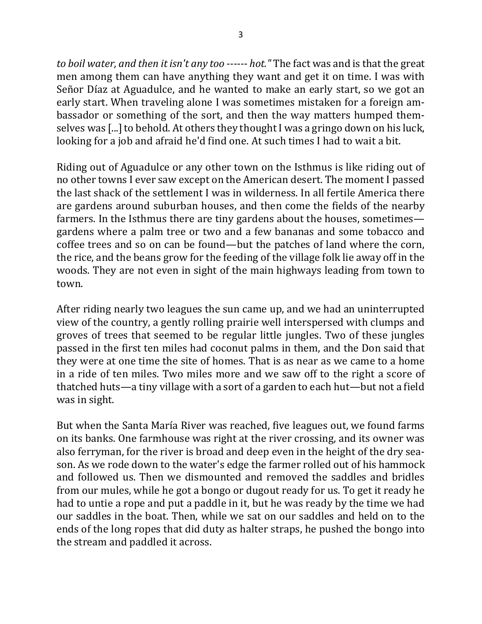*to boil water, and then it isn't any too ------ hot."* The fact was and is that the great men among them can have anything they want and get it on time. I was with Señor Díaz at Aguadulce, and he wanted to make an early start, so we got an early start. When traveling alone I was sometimes mistaken for a foreign ambassador or something of the sort, and then the way matters humped themselves was [...] to behold. At others they thought I was a gringo down on his luck, looking for a job and afraid he'd find one. At such times I had to wait a bit.

Riding out of Aguadulce or any other town on the Isthmus is like riding out of no other towns I ever saw except on the American desert. The moment I passed the last shack of the settlement I was in wilderness. In all fertile America there are gardens around suburban houses, and then come the fields of the nearby farmers. In the Isthmus there are tiny gardens about the houses, sometimes gardens where a palm tree or two and a few bananas and some tobacco and coffee trees and so on can be found—but the patches of land where the corn, the rice, and the beans grow for the feeding of the village folk lie away off in the woods. They are not even in sight of the main highways leading from town to town.

After riding nearly two leagues the sun came up, and we had an uninterrupted view of the country, a gently rolling prairie well interspersed with clumps and groves of trees that seemed to be regular little jungles. Two of these jungles passed in the first ten miles had coconut palms in them, and the Don said that they were at one time the site of homes. That is as near as we came to a home in a ride of ten miles. Two miles more and we saw off to the right a score of thatched huts—a tiny village with a sort of a garden to each hut—but not a field was in sight.

But when the Santa María River was reached, five leagues out, we found farms on its banks. One farmhouse was right at the river crossing, and its owner was also ferryman, for the river is broad and deep even in the height of the dry season. As we rode down to the water's edge the farmer rolled out of his hammock and followed us. Then we dismounted and removed the saddles and bridles from our mules, while he got a bongo or dugout ready for us. To get it ready he had to untie a rope and put a paddle in it, but he was ready by the time we had our saddles in the boat. Then, while we sat on our saddles and held on to the ends of the long ropes that did duty as halter straps, he pushed the bongo into the stream and paddled it across.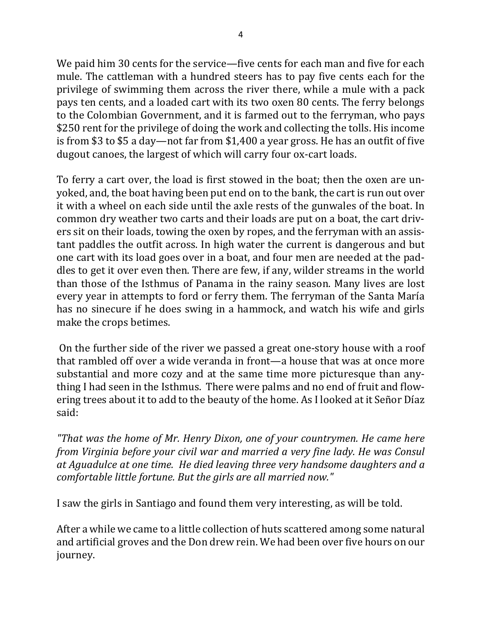We paid him 30 cents for the service—five cents for each man and five for each mule. The cattleman with a hundred steers has to pay five cents each for the privilege of swimming them across the river there, while a mule with a pack pays ten cents, and a loaded cart with its two oxen 80 cents. The ferry belongs to the Colombian Government, and it is farmed out to the ferryman, who pays \$250 rent for the privilege of doing the work and collecting the tolls. His income is from \$3 to \$5 a day—not far from \$1,400 a year gross. He has an outfit of five dugout canoes, the largest of which will carry four ox-cart loads.

To ferry a cart over, the load is first stowed in the boat; then the oxen are unyoked, and, the boat having been put end on to the bank, the cart is run out over it with a wheel on each side until the axle rests of the gunwales of the boat. In common dry weather two carts and their loads are put on a boat, the cart drivers sit on their loads, towing the oxen by ropes, and the ferryman with an assistant paddles the outfit across. In high water the current is dangerous and but one cart with its load goes over in a boat, and four men are needed at the paddles to get it over even then. There are few, if any, wilder streams in the world than those of the Isthmus of Panama in the rainy season. Many lives are lost every year in attempts to ford or ferry them. The ferryman of the Santa María has no sinecure if he does swing in a hammock, and watch his wife and girls make the crops betimes.

On the further side of the river we passed a great one-story house with a roof that rambled off over a wide veranda in front—a house that was at once more substantial and more cozy and at the same time more picturesque than anything I had seen in the Isthmus. There were palms and no end of fruit and flowering trees about it to add to the beauty of the home. As I looked at it Señor Díaz said:

*"That* was the home of Mr. Henry Dixon, one of your countrymen. He came here *from Virginia before your civil war and married a very fine lady. He was Consul* at Aguadulce at one time. He died leaving three very handsome daughters and a *comfortable little fortune. But the girls are all married now."* 

I saw the girls in Santiago and found them very interesting, as will be told.

After a while we came to a little collection of huts scattered among some natural and artificial groves and the Don drew rein. We had been over five hours on our journey.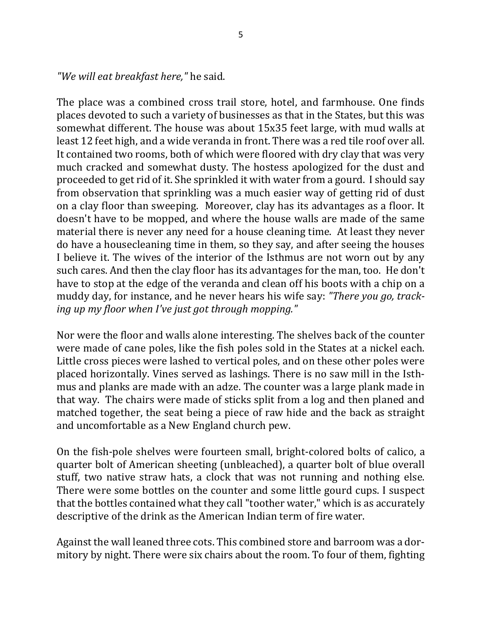*"We will eat breakfast here,"* he said.

The place was a combined cross trail store, hotel, and farmhouse. One finds places devoted to such a variety of businesses as that in the States, but this was somewhat different. The house was about 15x35 feet large, with mud walls at least 12 feet high, and a wide veranda in front. There was a red tile roof over all. It contained two rooms, both of which were floored with dry clay that was very much cracked and somewhat dusty. The hostess apologized for the dust and proceeded to get rid of it. She sprinkled it with water from a gourd. I should say from observation that sprinkling was a much easier way of getting rid of dust on a clay floor than sweeping. Moreover, clay has its advantages as a floor. It doesn't have to be mopped, and where the house walls are made of the same material there is never any need for a house cleaning time. At least they never do have a housecleaning time in them, so they say, and after seeing the houses I believe it. The wives of the interior of the Isthmus are not worn out by any such cares. And then the clay floor has its advantages for the man, too. He don't have to stop at the edge of the veranda and clean off his boots with a chip on a muddy day, for instance, and he never hears his wife say: "There you go, track*ing up my floor when I've just got through mopping."* 

Nor were the floor and walls alone interesting. The shelves back of the counter were made of cane poles, like the fish poles sold in the States at a nickel each. Little cross pieces were lashed to vertical poles, and on these other poles were placed horizontally. Vines served as lashings. There is no saw mill in the Isthmus and planks are made with an adze. The counter was a large plank made in that way. The chairs were made of sticks split from a log and then planed and matched together, the seat being a piece of raw hide and the back as straight and uncomfortable as a New England church pew.

On the fish-pole shelves were fourteen small, bright-colored bolts of calico, a quarter bolt of American sheeting (unbleached), a quarter bolt of blue overall stuff, two native straw hats, a clock that was not running and nothing else. There were some bottles on the counter and some little gourd cups. I suspect that the bottles contained what they call "toother water," which is as accurately descriptive of the drink as the American Indian term of fire water.

Against the wall leaned three cots. This combined store and barroom was a dormitory by night. There were six chairs about the room. To four of them, fighting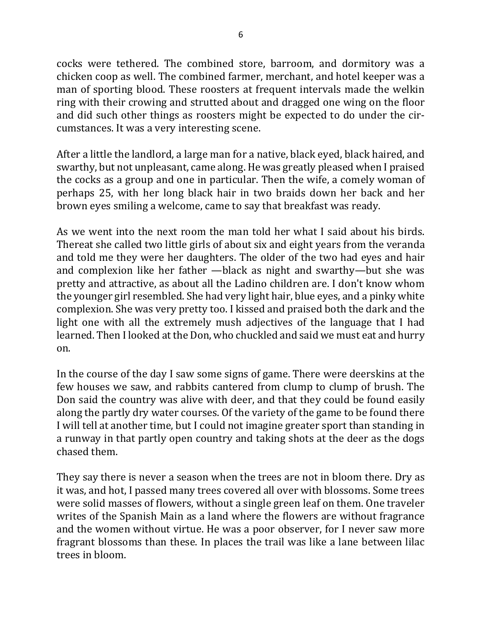cocks were tethered. The combined store, barroom, and dormitory was a chicken coop as well. The combined farmer, merchant, and hotel keeper was a man of sporting blood. These roosters at frequent intervals made the welkin ring with their crowing and strutted about and dragged one wing on the floor and did such other things as roosters might be expected to do under the circumstances. It was a very interesting scene.

After a little the landlord, a large man for a native, black eyed, black haired, and swarthy, but not unpleasant, came along. He was greatly pleased when I praised the cocks as a group and one in particular. Then the wife, a comely woman of perhaps 25, with her long black hair in two braids down her back and her brown eyes smiling a welcome, came to say that breakfast was ready.

As we went into the next room the man told her what I said about his birds. Thereat she called two little girls of about six and eight years from the veranda and told me they were her daughters. The older of the two had eyes and hair and complexion like her father —black as night and swarthy—but she was pretty and attractive, as about all the Ladino children are. I don't know whom the younger girl resembled. She had very light hair, blue eyes, and a pinky white complexion. She was very pretty too. I kissed and praised both the dark and the light one with all the extremely mush adjectives of the language that I had learned. Then I looked at the Don, who chuckled and said we must eat and hurry on.

In the course of the day I saw some signs of game. There were deerskins at the few houses we saw, and rabbits cantered from clump to clump of brush. The Don said the country was alive with deer, and that they could be found easily along the partly dry water courses. Of the variety of the game to be found there I will tell at another time, but I could not imagine greater sport than standing in a runway in that partly open country and taking shots at the deer as the dogs chased them.

They say there is never a season when the trees are not in bloom there. Dry as it was, and hot, I passed many trees covered all over with blossoms. Some trees were solid masses of flowers, without a single green leaf on them. One traveler writes of the Spanish Main as a land where the flowers are without fragrance and the women without virtue. He was a poor observer, for I never saw more fragrant blossoms than these. In places the trail was like a lane between lilac trees in bloom.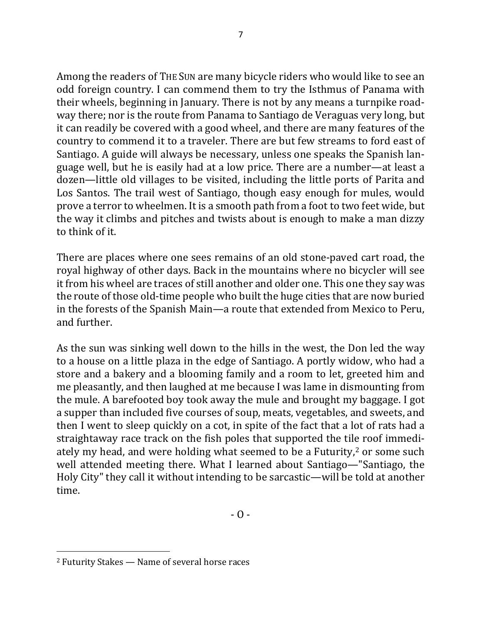Among the readers of THE SUN are many bicycle riders who would like to see an odd foreign country. I can commend them to try the Isthmus of Panama with their wheels, beginning in January. There is not by any means a turnpike roadway there; nor is the route from Panama to Santiago de Veraguas very long, but it can readily be covered with a good wheel, and there are many features of the country to commend it to a traveler. There are but few streams to ford east of Santiago. A guide will always be necessary, unless one speaks the Spanish language well, but he is easily had at a low price. There are a number—at least a dozen—little old villages to be visited, including the little ports of Parita and Los Santos. The trail west of Santiago, though easy enough for mules, would prove a terror to wheelmen. It is a smooth path from a foot to two feet wide, but the way it climbs and pitches and twists about is enough to make a man dizzy to think of it.

There are places where one sees remains of an old stone-paved cart road, the royal highway of other days. Back in the mountains where no bicycler will see it from his wheel are traces of still another and older one. This one they say was the route of those old-time people who built the huge cities that are now buried in the forests of the Spanish Main—a route that extended from Mexico to Peru, and further.

As the sun was sinking well down to the hills in the west, the Don led the way to a house on a little plaza in the edge of Santiago. A portly widow, who had a store and a bakery and a blooming family and a room to let, greeted him and me pleasantly, and then laughed at me because I was lame in dismounting from the mule. A barefooted boy took away the mule and brought my baggage. I got a supper than included five courses of soup, meats, vegetables, and sweets, and then I went to sleep quickly on a cot, in spite of the fact that a lot of rats had a straightaway race track on the fish poles that supported the tile roof immediately my head, and were holding what seemed to be a Futurity,<sup>2</sup> or some such well attended meeting there. What I learned about Santiago—"Santiago, the Holy City" they call it without intending to be sarcastic—will be told at another time.

 $2$  Futurity Stakes  $-$  Name of several horse races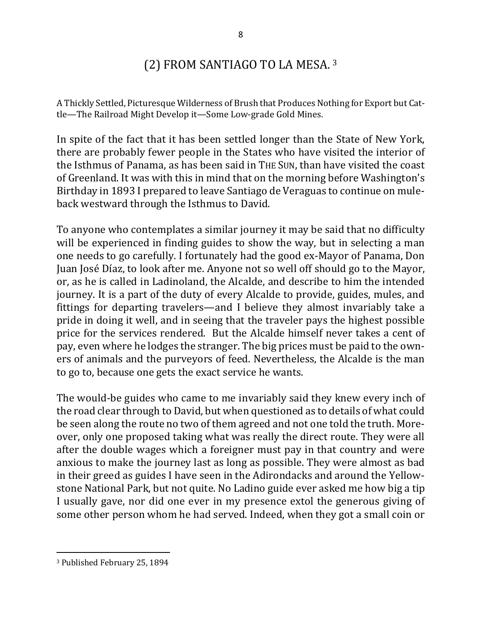## (2) FROM SANTIAGO TO LA MESA.  $3$

A Thickly Settled, Picturesque Wilderness of Brush that Produces Nothing for Export but Cattle-The Railroad Might Develop it-Some Low-grade Gold Mines.

In spite of the fact that it has been settled longer than the State of New York, there are probably fewer people in the States who have visited the interior of the Isthmus of Panama, as has been said in THE SUN, than have visited the coast of Greenland. It was with this in mind that on the morning before Washington's Birthday in 1893 I prepared to leave Santiago de Veraguas to continue on muleback westward through the Isthmus to David.

To anyone who contemplates a similar journey it may be said that no difficulty will be experienced in finding guides to show the way, but in selecting a man one needs to go carefully. I fortunately had the good ex-Mayor of Panama, Don Juan José Díaz, to look after me. Anyone not so well off should go to the Mayor, or, as he is called in Ladinoland, the Alcalde, and describe to him the intended journey. It is a part of the duty of every Alcalde to provide, guides, mules, and fittings for departing travelers—and I believe they almost invariably take a pride in doing it well, and in seeing that the traveler pays the highest possible price for the services rendered. But the Alcalde himself never takes a cent of pay, even where he lodges the stranger. The big prices must be paid to the owners of animals and the purveyors of feed. Nevertheless, the Alcalde is the man to go to, because one gets the exact service he wants.

The would-be guides who came to me invariably said they knew every inch of the road clear through to David, but when questioned as to details of what could be seen along the route no two of them agreed and not one told the truth. Moreover, only one proposed taking what was really the direct route. They were all after the double wages which a foreigner must pay in that country and were anxious to make the journey last as long as possible. They were almost as bad in their greed as guides I have seen in the Adirondacks and around the Yellowstone National Park, but not quite. No Ladino guide ever asked me how big a tip I usually gave, nor did one ever in my presence extol the generous giving of some other person whom he had served. Indeed, when they got a small coin or

<sup>&</sup>lt;sup>3</sup> Published February 25, 1894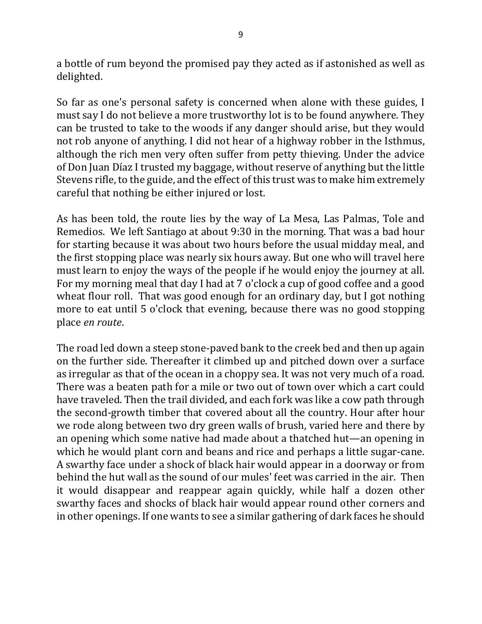a bottle of rum beyond the promised pay they acted as if astonished as well as delighted.

So far as one's personal safety is concerned when alone with these guides, I must say I do not believe a more trustworthy lot is to be found anywhere. They can be trusted to take to the woods if any danger should arise, but they would not rob anyone of anything. I did not hear of a highway robber in the Isthmus, although the rich men very often suffer from petty thieving. Under the advice of Don Juan Díaz I trusted my baggage, without reserve of anything but the little Stevens rifle, to the guide, and the effect of this trust was to make him extremely careful that nothing be either injured or lost.

As has been told, the route lies by the way of La Mesa, Las Palmas, Tole and Remedios. We left Santiago at about 9:30 in the morning. That was a bad hour for starting because it was about two hours before the usual midday meal, and the first stopping place was nearly six hours away. But one who will travel here must learn to enjoy the ways of the people if he would enjoy the journey at all. For my morning meal that day I had at 7 o'clock a cup of good coffee and a good wheat flour roll. That was good enough for an ordinary day, but I got nothing more to eat until 5 o'clock that evening, because there was no good stopping place *en route*.

The road led down a steep stone-paved bank to the creek bed and then up again on the further side. Thereafter it climbed up and pitched down over a surface as irregular as that of the ocean in a choppy sea. It was not very much of a road. There was a beaten path for a mile or two out of town over which a cart could have traveled. Then the trail divided, and each fork was like a cow path through the second-growth timber that covered about all the country. Hour after hour we rode along between two dry green walls of brush, varied here and there by an opening which some native had made about a thatched hut—an opening in which he would plant corn and beans and rice and perhaps a little sugar-cane. A swarthy face under a shock of black hair would appear in a doorway or from behind the hut wall as the sound of our mules' feet was carried in the air. Then it would disappear and reappear again quickly, while half a dozen other swarthy faces and shocks of black hair would appear round other corners and in other openings. If one wants to see a similar gathering of dark faces he should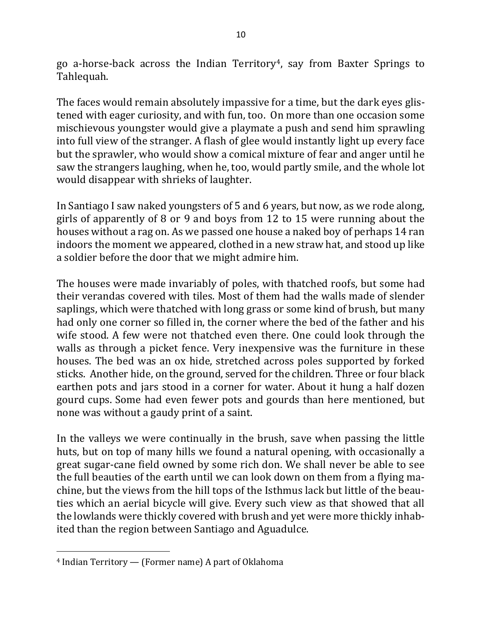go a-horse-back across the Indian Territory<sup>4</sup>, say from Baxter Springs to Tahlequah.

The faces would remain absolutely impassive for a time, but the dark eyes glistened with eager curiosity, and with fun, too. On more than one occasion some mischievous youngster would give a playmate a push and send him sprawling into full view of the stranger. A flash of glee would instantly light up every face but the sprawler, who would show a comical mixture of fear and anger until he saw the strangers laughing, when he, too, would partly smile, and the whole lot would disappear with shrieks of laughter.

In Santiago I saw naked youngsters of 5 and 6 years, but now, as we rode along, girls of apparently of 8 or 9 and boys from 12 to 15 were running about the houses without a rag on. As we passed one house a naked boy of perhaps 14 ran indoors the moment we appeared, clothed in a new straw hat, and stood up like a soldier before the door that we might admire him.

The houses were made invariably of poles, with thatched roofs, but some had their verandas covered with tiles. Most of them had the walls made of slender saplings, which were thatched with long grass or some kind of brush, but many had only one corner so filled in, the corner where the bed of the father and his wife stood. A few were not thatched even there. One could look through the walls as through a picket fence. Very inexpensive was the furniture in these houses. The bed was an ox hide, stretched across poles supported by forked sticks. Another hide, on the ground, served for the children. Three or four black earthen pots and jars stood in a corner for water. About it hung a half dozen gourd cups. Some had even fewer pots and gourds than here mentioned, but none was without a gaudy print of a saint.

In the valleys we were continually in the brush, save when passing the little huts, but on top of many hills we found a natural opening, with occasionally a great sugar-cane field owned by some rich don. We shall never be able to see the full beauties of the earth until we can look down on them from a flying machine, but the views from the hill tops of the Isthmus lack but little of the beauties which an aerial bicycle will give. Every such view as that showed that all the lowlands were thickly covered with brush and yet were more thickly inhabited than the region between Santiago and Aguadulce.

 $4$  Indian Territory  $-$  (Former name) A part of Oklahoma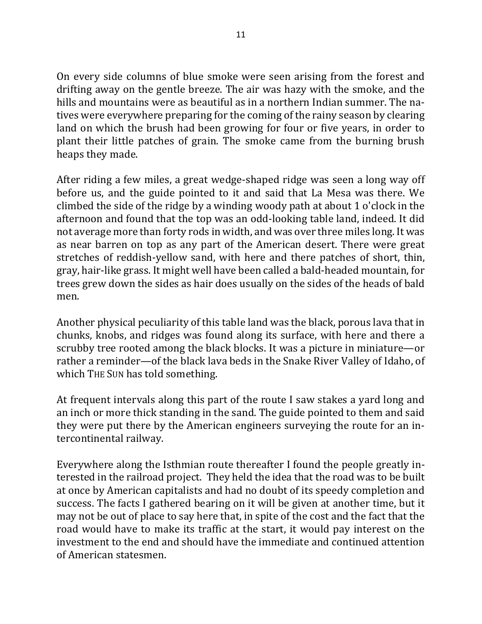On every side columns of blue smoke were seen arising from the forest and drifting away on the gentle breeze. The air was hazy with the smoke, and the hills and mountains were as beautiful as in a northern Indian summer. The natives were everywhere preparing for the coming of the rainy season by clearing land on which the brush had been growing for four or five years, in order to plant their little patches of grain. The smoke came from the burning brush heaps they made.

After riding a few miles, a great wedge-shaped ridge was seen a long way off before us, and the guide pointed to it and said that La Mesa was there. We climbed the side of the ridge by a winding woody path at about 1 o'clock in the afternoon and found that the top was an odd-looking table land, indeed. It did not average more than forty rods in width, and was over three miles long. It was as near barren on top as any part of the American desert. There were great stretches of reddish-yellow sand, with here and there patches of short, thin, gray, hair-like grass. It might well have been called a bald-headed mountain, for trees grew down the sides as hair does usually on the sides of the heads of bald men.

Another physical peculiarity of this table land was the black, porous lava that in chunks, knobs, and ridges was found along its surface, with here and there a scrubby tree rooted among the black blocks. It was a picture in miniature—or rather a reminder—of the black lava beds in the Snake River Valley of Idaho, of which THE SUN has told something.

At frequent intervals along this part of the route I saw stakes a yard long and an inch or more thick standing in the sand. The guide pointed to them and said they were put there by the American engineers surveying the route for an intercontinental railway.

Everywhere along the Isthmian route thereafter I found the people greatly interested in the railroad project. They held the idea that the road was to be built at once by American capitalists and had no doubt of its speedy completion and success. The facts I gathered bearing on it will be given at another time, but it may not be out of place to say here that, in spite of the cost and the fact that the road would have to make its traffic at the start, it would pay interest on the investment to the end and should have the immediate and continued attention of American statesmen.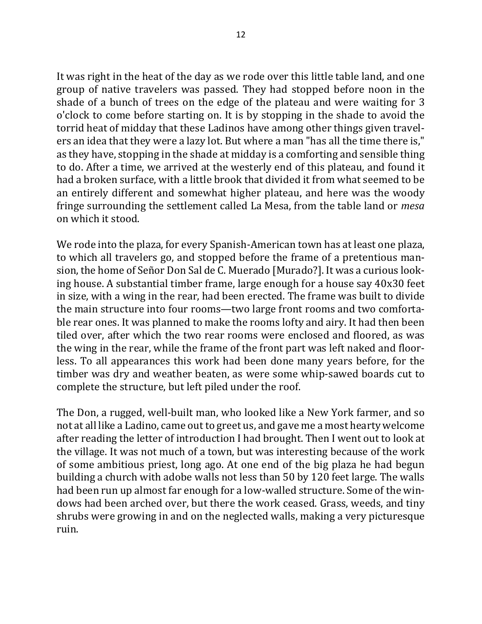It was right in the heat of the day as we rode over this little table land, and one group of native travelers was passed. They had stopped before noon in the shade of a bunch of trees on the edge of the plateau and were waiting for 3 o'clock to come before starting on. It is by stopping in the shade to avoid the torrid heat of midday that these Ladinos have among other things given travelers an idea that they were a lazy lot. But where a man "has all the time there is," as they have, stopping in the shade at midday is a comforting and sensible thing to do. After a time, we arrived at the westerly end of this plateau, and found it had a broken surface, with a little brook that divided it from what seemed to be an entirely different and somewhat higher plateau, and here was the woody fringe surrounding the settlement called La Mesa, from the table land or *mesa* on which it stood.

We rode into the plaza, for every Spanish-American town has at least one plaza, to which all travelers go, and stopped before the frame of a pretentious mansion, the home of Señor Don Sal de C. Muerado [Murado?]. It was a curious looking house. A substantial timber frame, large enough for a house say 40x30 feet in size, with a wing in the rear, had been erected. The frame was built to divide the main structure into four rooms—two large front rooms and two comfortable rear ones. It was planned to make the rooms lofty and airy. It had then been tiled over, after which the two rear rooms were enclosed and floored, as was the wing in the rear, while the frame of the front part was left naked and floorless. To all appearances this work had been done many years before, for the timber was dry and weather beaten, as were some whip-sawed boards cut to complete the structure, but left piled under the roof.

The Don, a rugged, well-built man, who looked like a New York farmer, and so not at all like a Ladino, came out to greet us, and gave me a most hearty welcome after reading the letter of introduction I had brought. Then I went out to look at the village. It was not much of a town, but was interesting because of the work of some ambitious priest, long ago. At one end of the big plaza he had begun building a church with adobe walls not less than 50 by 120 feet large. The walls had been run up almost far enough for a low-walled structure. Some of the windows had been arched over, but there the work ceased. Grass, weeds, and tiny shrubs were growing in and on the neglected walls, making a very picturesque ruin.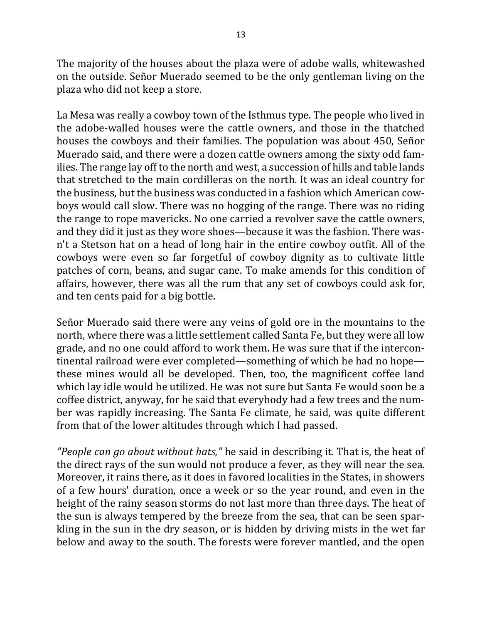The majority of the houses about the plaza were of adobe walls, whitewashed on the outside. Señor Muerado seemed to be the only gentleman living on the plaza who did not keep a store.

La Mesa was really a cowboy town of the Isthmus type. The people who lived in the adobe-walled houses were the cattle owners, and those in the thatched houses the cowboys and their families. The population was about 450, Señor Muerado said, and there were a dozen cattle owners among the sixty odd families. The range lay off to the north and west, a succession of hills and table lands that stretched to the main cordilleras on the north. It was an ideal country for the business, but the business was conducted in a fashion which American cowboys would call slow. There was no hogging of the range. There was no riding the range to rope mavericks. No one carried a revolver save the cattle owners, and they did it just as they wore shoes—because it was the fashion. There wasn't a Stetson hat on a head of long hair in the entire cowboy outfit. All of the cowboys were even so far forgetful of cowboy dignity as to cultivate little patches of corn, beans, and sugar cane. To make amends for this condition of affairs, however, there was all the rum that any set of cowboys could ask for, and ten cents paid for a big bottle.

Señor Muerado said there were any veins of gold ore in the mountains to the north, where there was a little settlement called Santa Fe, but they were all low grade, and no one could afford to work them. He was sure that if the intercontinental railroad were ever completed—something of which he had no hope these mines would all be developed. Then, too, the magnificent coffee land which lay idle would be utilized. He was not sure but Santa Fe would soon be a coffee district, anyway, for he said that everybody had a few trees and the number was rapidly increasing. The Santa Fe climate, he said, was quite different from that of the lower altitudes through which I had passed.

*"People can go about without hats,"* he said in describing it. That is, the heat of the direct rays of the sun would not produce a fever, as they will near the sea. Moreover, it rains there, as it does in favored localities in the States, in showers of a few hours' duration, once a week or so the year round, and even in the height of the rainy season storms do not last more than three days. The heat of the sun is always tempered by the breeze from the sea, that can be seen sparkling in the sun in the dry season, or is hidden by driving mists in the wet far below and away to the south. The forests were forever mantled, and the open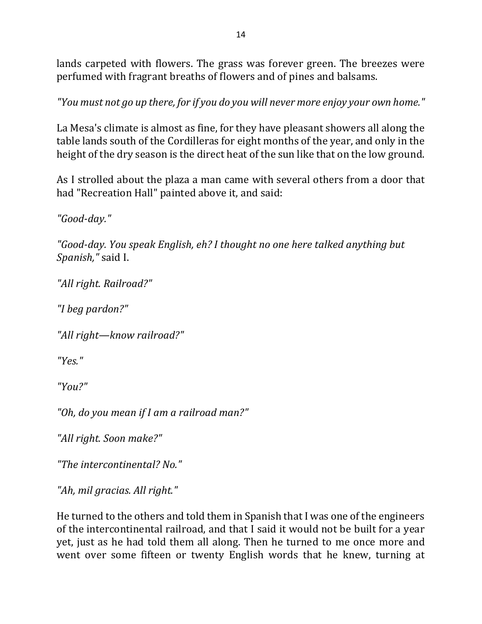lands carpeted with flowers. The grass was forever green. The breezes were perfumed with fragrant breaths of flowers and of pines and balsams.

"You must not go up there, for if you do you will never more enjoy your own home."

La Mesa's climate is almost as fine, for they have pleasant showers all along the table lands south of the Cordilleras for eight months of the year, and only in the height of the dry season is the direct heat of the sun like that on the low ground.

As I strolled about the plaza a man came with several others from a door that had "Recreation Hall" painted above it, and said:

*"Good-day."*

"Good-day. You speak English, eh? I thought no one here talked anything but Spanish," said I.

*"All right. Railroad?"*

*"I beg pardon?"*

*"All right—know railroad?"*

*"Yes."*

*"You?"*

*"Oh, do you mean if I am a railroad man?"*

*"All right. Soon make?"*

*"The intercontinental? No."*

*"Ah, mil gracias. All right."*

He turned to the others and told them in Spanish that I was one of the engineers of the intercontinental railroad, and that I said it would not be built for a year yet, just as he had told them all along. Then he turned to me once more and went over some fifteen or twenty English words that he knew, turning at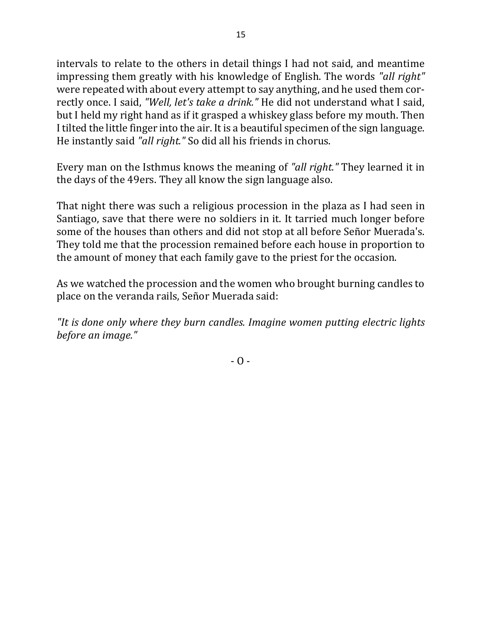intervals to relate to the others in detail things I had not said, and meantime impressing them greatly with his knowledge of English. The words "all right" were repeated with about every attempt to say anything, and he used them correctly once. I said, "Well, let's take a drink." He did not understand what I said, but I held my right hand as if it grasped a whiskey glass before my mouth. Then I tilted the little finger into the air. It is a beautiful specimen of the sign language. He instantly said "all right." So did all his friends in chorus.

Every man on the Isthmus knows the meaning of "all right." They learned it in the days of the 49ers. They all know the sign language also.

That night there was such a religious procession in the plaza as I had seen in Santiago, save that there were no soldiers in it. It tarried much longer before some of the houses than others and did not stop at all before Señor Muerada's. They told me that the procession remained before each house in proportion to the amount of money that each family gave to the priest for the occasion.

As we watched the procession and the women who brought burning candles to place on the veranda rails, Señor Muerada said:

"It is done only where they burn candles. Imagine women putting electric lights before an *image*."

 $-$  O  $-$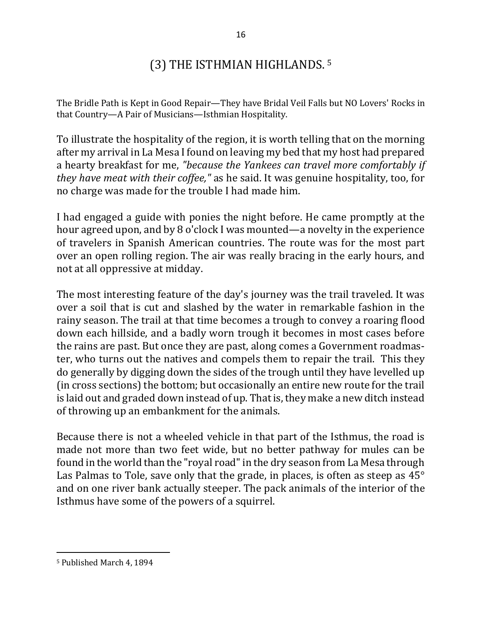# (3) THE ISTHMIAN HIGHLANDS. 5

The Bridle Path is Kept in Good Repair—They have Bridal Veil Falls but NO Lovers' Rocks in that Country-A Pair of Musicians-Isthmian Hospitality.

To illustrate the hospitality of the region, it is worth telling that on the morning after my arrival in La Mesa I found on leaving my bed that my host had prepared a hearty breakfast for me, "because the Yankees can travel more comfortably if *they have meat with their coffee,*" as he said. It was genuine hospitality, too, for no charge was made for the trouble I had made him.

I had engaged a guide with ponies the night before. He came promptly at the hour agreed upon, and by 8 o'clock I was mounted—a novelty in the experience of travelers in Spanish American countries. The route was for the most part over an open rolling region. The air was really bracing in the early hours, and not at all oppressive at midday.

The most interesting feature of the day's journey was the trail traveled. It was over a soil that is cut and slashed by the water in remarkable fashion in the rainy season. The trail at that time becomes a trough to convey a roaring flood down each hillside, and a badly worn trough it becomes in most cases before the rains are past. But once they are past, along comes a Government roadmaster, who turns out the natives and compels them to repair the trail. This they do generally by digging down the sides of the trough until they have levelled up (in cross sections) the bottom; but occasionally an entire new route for the trail is laid out and graded down instead of up. That is, they make a new ditch instead of throwing up an embankment for the animals.

Because there is not a wheeled vehicle in that part of the Isthmus, the road is made not more than two feet wide, but no better pathway for mules can be found in the world than the "royal road" in the dry season from La Mesa through Las Palmas to Tole, save only that the grade, in places, is often as steep as  $45^\circ$ and on one river bank actually steeper. The pack animals of the interior of the Isthmus have some of the powers of a squirrel.

<sup>&</sup>lt;sup>5</sup> Published March 4, 1894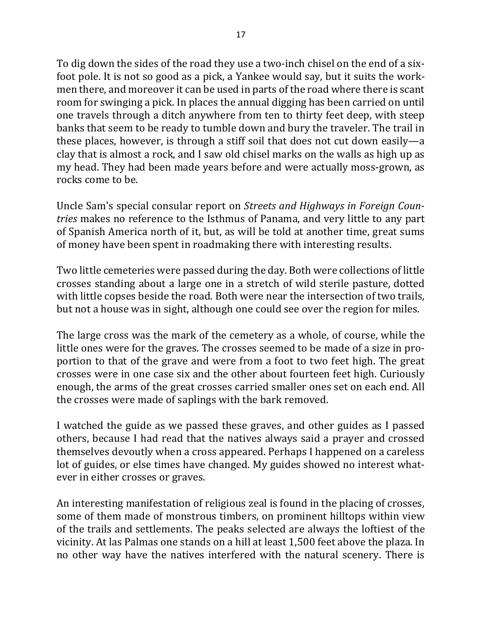To dig down the sides of the road they use a two-inch chisel on the end of a sixfoot pole. It is not so good as a pick, a Yankee would say, but it suits the workmen there, and moreover it can be used in parts of the road where there is scant room for swinging a pick. In places the annual digging has been carried on until one travels through a ditch anywhere from ten to thirty feet deep, with steep banks that seem to be ready to tumble down and bury the traveler. The trail in these places, however, is through a stiff soil that does not cut down easily—a clay that is almost a rock, and I saw old chisel marks on the walls as high up as my head. They had been made years before and were actually moss-grown, as rocks come to be.

Uncle Sam's special consular report on *Streets and Highways in Foreign Countries* makes no reference to the Isthmus of Panama, and very little to any part of Spanish America north of it, but, as will be told at another time, great sums of money have been spent in roadmaking there with interesting results.

Two little cemeteries were passed during the day. Both were collections of little crosses standing about a large one in a stretch of wild sterile pasture, dotted with little copses beside the road. Both were near the intersection of two trails, but not a house was in sight, although one could see over the region for miles.

The large cross was the mark of the cemetery as a whole, of course, while the little ones were for the graves. The crosses seemed to be made of a size in proportion to that of the grave and were from a foot to two feet high. The great crosses were in one case six and the other about fourteen feet high. Curiously enough, the arms of the great crosses carried smaller ones set on each end. All the crosses were made of saplings with the bark removed.

I watched the guide as we passed these graves, and other guides as I passed others, because I had read that the natives always said a prayer and crossed themselves devoutly when a cross appeared. Perhaps I happened on a careless lot of guides, or else times have changed. My guides showed no interest whatever in either crosses or graves.

An interesting manifestation of religious zeal is found in the placing of crosses, some of them made of monstrous timbers, on prominent hilltops within view of the trails and settlements. The peaks selected are always the loftiest of the vicinity. At las Palmas one stands on a hill at least 1,500 feet above the plaza. In no other way have the natives interfered with the natural scenery. There is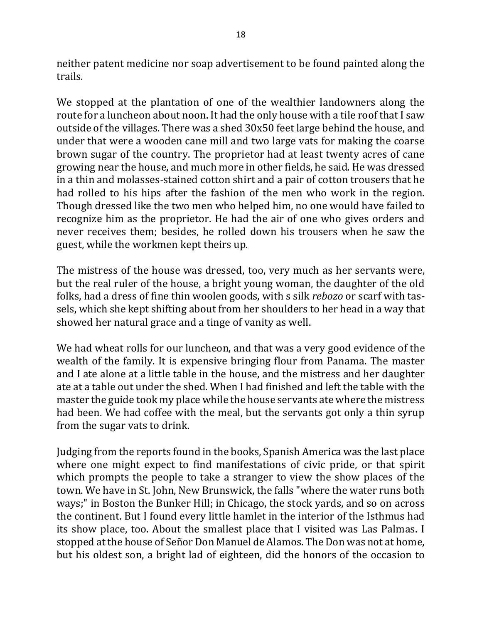neither patent medicine nor soap advertisement to be found painted along the trails.

We stopped at the plantation of one of the wealthier landowners along the route for a luncheon about noon. It had the only house with a tile roof that I saw outside of the villages. There was a shed  $30x50$  feet large behind the house, and under that were a wooden cane mill and two large vats for making the coarse brown sugar of the country. The proprietor had at least twenty acres of cane growing near the house, and much more in other fields, he said. He was dressed in a thin and molasses-stained cotton shirt and a pair of cotton trousers that he had rolled to his hips after the fashion of the men who work in the region. Though dressed like the two men who helped him, no one would have failed to recognize him as the proprietor. He had the air of one who gives orders and never receives them; besides, he rolled down his trousers when he saw the guest, while the workmen kept theirs up.

The mistress of the house was dressed, too, very much as her servants were, but the real ruler of the house, a bright young woman, the daughter of the old folks, had a dress of fine thin woolen goods, with s silk *rebozo* or scarf with tassels, which she kept shifting about from her shoulders to her head in a way that showed her natural grace and a tinge of vanity as well.

We had wheat rolls for our luncheon, and that was a very good evidence of the wealth of the family. It is expensive bringing flour from Panama. The master and I ate alone at a little table in the house, and the mistress and her daughter ate at a table out under the shed. When I had finished and left the table with the master the guide took my place while the house servants ate where the mistress had been. We had coffee with the meal, but the servants got only a thin syrup from the sugar vats to drink.

Judging from the reports found in the books, Spanish America was the last place where one might expect to find manifestations of civic pride, or that spirit which prompts the people to take a stranger to view the show places of the town. We have in St. John, New Brunswick, the falls "where the water runs both ways;" in Boston the Bunker Hill; in Chicago, the stock yards, and so on across the continent. But I found every little hamlet in the interior of the Isthmus had its show place, too. About the smallest place that I visited was Las Palmas. I stopped at the house of Señor Don Manuel de Alamos. The Don was not at home, but his oldest son, a bright lad of eighteen, did the honors of the occasion to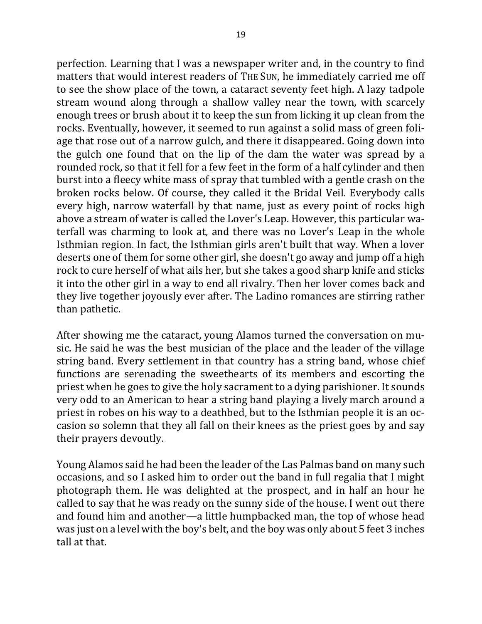perfection. Learning that I was a newspaper writer and, in the country to find matters that would interest readers of THE SUN, he immediately carried me off to see the show place of the town, a cataract seventy feet high. A lazy tadpole stream wound along through a shallow valley near the town, with scarcely enough trees or brush about it to keep the sun from licking it up clean from the rocks. Eventually, however, it seemed to run against a solid mass of green foliage that rose out of a narrow gulch, and there it disappeared. Going down into the gulch one found that on the lip of the dam the water was spread by a rounded rock, so that it fell for a few feet in the form of a half cylinder and then burst into a fleecy white mass of spray that tumbled with a gentle crash on the broken rocks below. Of course, they called it the Bridal Veil. Everybody calls every high, narrow waterfall by that name, just as every point of rocks high above a stream of water is called the Lover's Leap. However, this particular waterfall was charming to look at, and there was no Lover's Leap in the whole Isthmian region. In fact, the Isthmian girls aren't built that way. When a lover deserts one of them for some other girl, she doesn't go away and jump off a high rock to cure herself of what ails her, but she takes a good sharp knife and sticks it into the other girl in a way to end all rivalry. Then her lover comes back and they live together joyously ever after. The Ladino romances are stirring rather than pathetic.

After showing me the cataract, young Alamos turned the conversation on music. He said he was the best musician of the place and the leader of the village string band. Every settlement in that country has a string band, whose chief functions are serenading the sweethearts of its members and escorting the priest when he goes to give the holy sacrament to a dying parishioner. It sounds very odd to an American to hear a string band playing a lively march around a priest in robes on his way to a deathbed, but to the Isthmian people it is an occasion so solemn that they all fall on their knees as the priest goes by and say their prayers devoutly.

Young Alamos said he had been the leader of the Las Palmas band on many such occasions, and so I asked him to order out the band in full regalia that I might photograph them. He was delighted at the prospect, and in half an hour he called to say that he was ready on the sunny side of the house. I went out there and found him and another—a little humpbacked man, the top of whose head was just on a level with the boy's belt, and the boy was only about 5 feet 3 inches tall at that.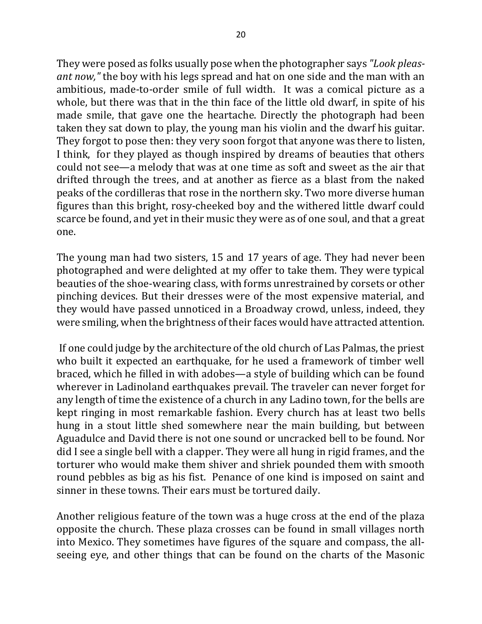They were posed as folks usually pose when the photographer says "Look pleas*ant now,*" the boy with his legs spread and hat on one side and the man with an ambitious, made-to-order smile of full width. It was a comical picture as a whole, but there was that in the thin face of the little old dwarf, in spite of his made smile, that gave one the heartache. Directly the photograph had been taken they sat down to play, the young man his violin and the dwarf his guitar. They forgot to pose then: they very soon forgot that anyone was there to listen, I think, for they played as though inspired by dreams of beauties that others could not see—a melody that was at one time as soft and sweet as the air that drifted through the trees, and at another as fierce as a blast from the naked peaks of the cordilleras that rose in the northern sky. Two more diverse human figures than this bright, rosy-cheeked boy and the withered little dwarf could scarce be found, and yet in their music they were as of one soul, and that a great one.

The young man had two sisters, 15 and 17 years of age. They had never been photographed and were delighted at my offer to take them. They were typical beauties of the shoe-wearing class, with forms unrestrained by corsets or other pinching devices. But their dresses were of the most expensive material, and they would have passed unnoticed in a Broadway crowd, unless, indeed, they were smiling, when the brightness of their faces would have attracted attention.

If one could judge by the architecture of the old church of Las Palmas, the priest who built it expected an earthquake, for he used a framework of timber well braced, which he filled in with adobes—a style of building which can be found wherever in Ladinoland earthquakes prevail. The traveler can never forget for any length of time the existence of a church in any Ladino town, for the bells are kept ringing in most remarkable fashion. Every church has at least two bells hung in a stout little shed somewhere near the main building, but between Aguadulce and David there is not one sound or uncracked bell to be found. Nor did I see a single bell with a clapper. They were all hung in rigid frames, and the torturer who would make them shiver and shriek pounded them with smooth round pebbles as big as his fist. Penance of one kind is imposed on saint and sinner in these towns. Their ears must be tortured daily.

Another religious feature of the town was a huge cross at the end of the plaza opposite the church. These plaza crosses can be found in small villages north into Mexico. They sometimes have figures of the square and compass, the allseeing eye, and other things that can be found on the charts of the Masonic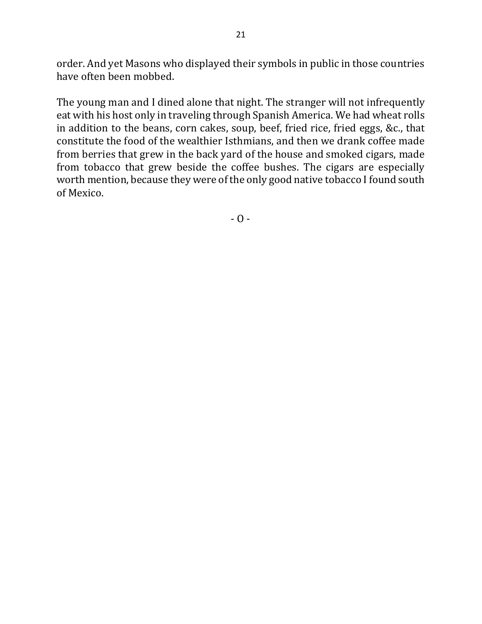order. And yet Masons who displayed their symbols in public in those countries have often been mobbed.

The young man and I dined alone that night. The stranger will not infrequently eat with his host only in traveling through Spanish America. We had wheat rolls in addition to the beans, corn cakes, soup, beef, fried rice, fried eggs, &c., that constitute the food of the wealthier Isthmians, and then we drank coffee made from berries that grew in the back yard of the house and smoked cigars, made from tobacco that grew beside the coffee bushes. The cigars are especially worth mention, because they were of the only good native tobacco I found south of Mexico.

 $- 0 -$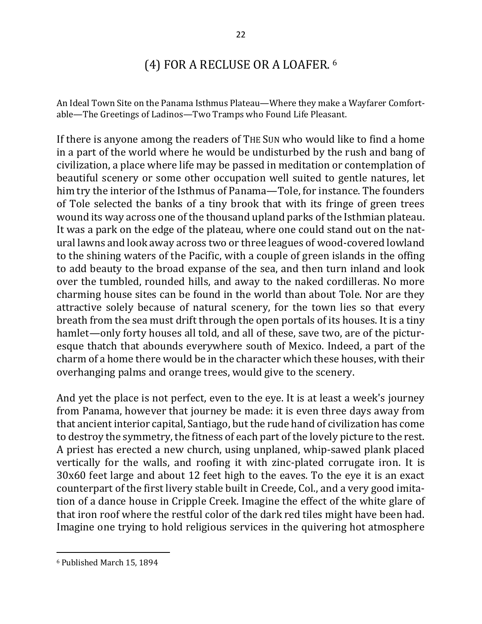## (4) FOR A RECLUSE OR A LOAFER. <sup>6</sup>

An Ideal Town Site on the Panama Isthmus Plateau—Where they make a Wayfarer Comfortable-The Greetings of Ladinos-Two Tramps who Found Life Pleasant.

If there is anyone among the readers of THE SUN who would like to find a home in a part of the world where he would be undisturbed by the rush and bang of civilization, a place where life may be passed in meditation or contemplation of beautiful scenery or some other occupation well suited to gentle natures, let him try the interior of the Isthmus of Panama—Tole, for instance. The founders of Tole selected the banks of a tiny brook that with its fringe of green trees wound its way across one of the thousand upland parks of the Isthmian plateau. It was a park on the edge of the plateau, where one could stand out on the natural lawns and look away across two or three leagues of wood-covered lowland to the shining waters of the Pacific, with a couple of green islands in the offing to add beauty to the broad expanse of the sea, and then turn inland and look over the tumbled, rounded hills, and away to the naked cordilleras. No more charming house sites can be found in the world than about Tole. Nor are they attractive solely because of natural scenery, for the town lies so that every breath from the sea must drift through the open portals of its houses. It is a tiny hamlet—only forty houses all told, and all of these, save two, are of the picturesque thatch that abounds everywhere south of Mexico. Indeed, a part of the charm of a home there would be in the character which these houses, with their overhanging palms and orange trees, would give to the scenery.

And yet the place is not perfect, even to the eye. It is at least a week's journey from Panama, however that journey be made: it is even three days away from that ancient interior capital, Santiago, but the rude hand of civilization has come to destroy the symmetry, the fitness of each part of the lovely picture to the rest. A priest has erected a new church, using unplaned, whip-sawed plank placed vertically for the walls, and roofing it with zinc-plated corrugate iron. It is 30x60 feet large and about 12 feet high to the eaves. To the eye it is an exact counterpart of the first livery stable built in Creede, Col., and a very good imitation of a dance house in Cripple Creek. Imagine the effect of the white glare of that iron roof where the restful color of the dark red tiles might have been had. Imagine one trying to hold religious services in the quivering hot atmosphere

<sup>&</sup>lt;sup>6</sup> Published March 15, 1894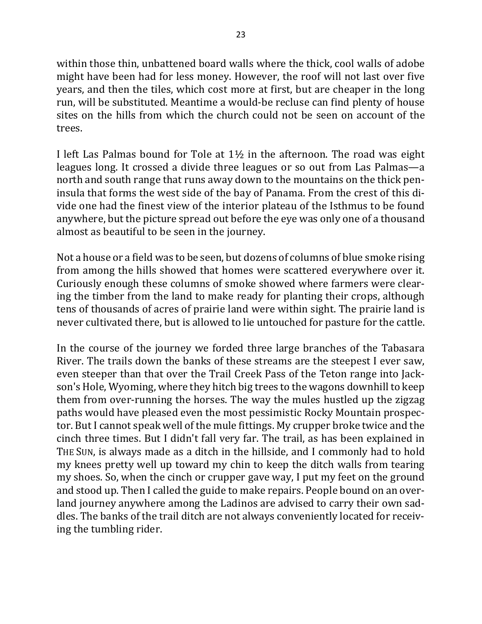within those thin, unbattened board walls where the thick, cool walls of adobe might have been had for less money. However, the roof will not last over five years, and then the tiles, which cost more at first, but are cheaper in the long run, will be substituted. Meantime a would-be recluse can find plenty of house sites on the hills from which the church could not be seen on account of the trees.

I left Las Palmas bound for Tole at  $1\frac{1}{2}$  in the afternoon. The road was eight leagues long. It crossed a divide three leagues or so out from Las Palmas—a north and south range that runs away down to the mountains on the thick peninsula that forms the west side of the bay of Panama. From the crest of this divide one had the finest view of the interior plateau of the Isthmus to be found anywhere, but the picture spread out before the eye was only one of a thousand almost as beautiful to be seen in the journey.

Not a house or a field was to be seen, but dozens of columns of blue smoke rising from among the hills showed that homes were scattered everywhere over it. Curiously enough these columns of smoke showed where farmers were clearing the timber from the land to make ready for planting their crops, although tens of thousands of acres of prairie land were within sight. The prairie land is never cultivated there, but is allowed to lie untouched for pasture for the cattle.

In the course of the journey we forded three large branches of the Tabasara River. The trails down the banks of these streams are the steepest I ever saw, even steeper than that over the Trail Creek Pass of the Teton range into Jackson's Hole, Wyoming, where they hitch big trees to the wagons downhill to keep them from over-running the horses. The way the mules hustled up the zigzag paths would have pleased even the most pessimistic Rocky Mountain prospector. But I cannot speak well of the mule fittings. My crupper broke twice and the cinch three times. But I didn't fall very far. The trail, as has been explained in THE SUN, is always made as a ditch in the hillside, and I commonly had to hold my knees pretty well up toward my chin to keep the ditch walls from tearing my shoes. So, when the cinch or crupper gave way, I put my feet on the ground and stood up. Then I called the guide to make repairs. People bound on an overland journey anywhere among the Ladinos are advised to carry their own saddles. The banks of the trail ditch are not always conveniently located for receiving the tumbling rider.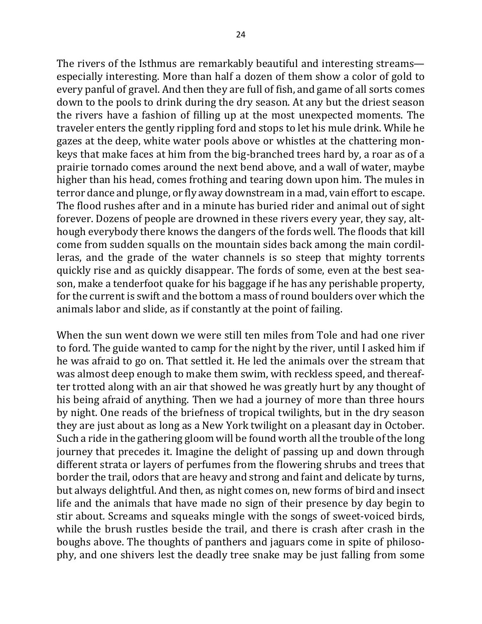The rivers of the Isthmus are remarkably beautiful and interesting streams especially interesting. More than half a dozen of them show a color of gold to every panful of gravel. And then they are full of fish, and game of all sorts comes down to the pools to drink during the dry season. At any but the driest season the rivers have a fashion of filling up at the most unexpected moments. The traveler enters the gently rippling ford and stops to let his mule drink. While he gazes at the deep, white water pools above or whistles at the chattering monkeys that make faces at him from the big-branched trees hard by, a roar as of a prairie tornado comes around the next bend above, and a wall of water, maybe higher than his head, comes frothing and tearing down upon him. The mules in terror dance and plunge, or fly away downstream in a mad, vain effort to escape. The flood rushes after and in a minute has buried rider and animal out of sight forever. Dozens of people are drowned in these rivers every year, they say, although everybody there knows the dangers of the fords well. The floods that kill come from sudden squalls on the mountain sides back among the main cordilleras, and the grade of the water channels is so steep that mighty torrents quickly rise and as quickly disappear. The fords of some, even at the best season, make a tenderfoot quake for his baggage if he has any perishable property, for the current is swift and the bottom a mass of round boulders over which the animals labor and slide, as if constantly at the point of failing.

When the sun went down we were still ten miles from Tole and had one river to ford. The guide wanted to camp for the night by the river, until I asked him if he was afraid to go on. That settled it. He led the animals over the stream that was almost deep enough to make them swim, with reckless speed, and thereafter trotted along with an air that showed he was greatly hurt by any thought of his being afraid of anything. Then we had a journey of more than three hours by night. One reads of the briefness of tropical twilights, but in the dry season they are just about as long as a New York twilight on a pleasant day in October. Such a ride in the gathering gloom will be found worth all the trouble of the long journey that precedes it. Imagine the delight of passing up and down through different strata or layers of perfumes from the flowering shrubs and trees that border the trail, odors that are heavy and strong and faint and delicate by turns, but always delightful. And then, as night comes on, new forms of bird and insect life and the animals that have made no sign of their presence by day begin to stir about. Screams and squeaks mingle with the songs of sweet-voiced birds, while the brush rustles beside the trail, and there is crash after crash in the boughs above. The thoughts of panthers and jaguars come in spite of philosophy, and one shivers lest the deadly tree snake may be just falling from some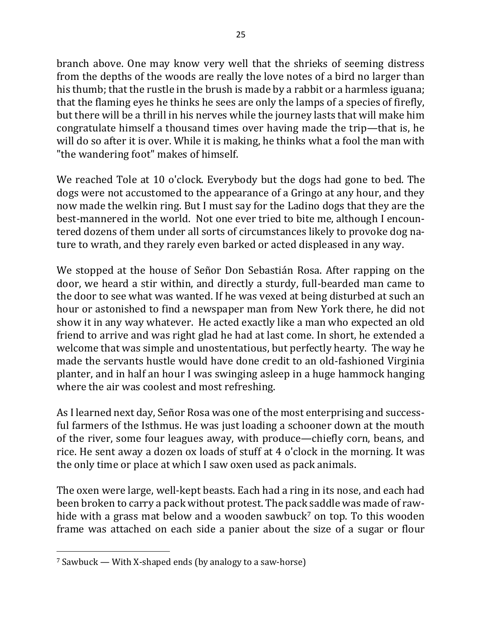branch above. One may know very well that the shrieks of seeming distress from the depths of the woods are really the love notes of a bird no larger than his thumb; that the rustle in the brush is made by a rabbit or a harmless iguana; that the flaming eyes he thinks he sees are only the lamps of a species of firefly, but there will be a thrill in his nerves while the journey lasts that will make him congratulate himself a thousand times over having made the trip—that is, he will do so after it is over. While it is making, he thinks what a fool the man with "the wandering foot" makes of himself.

We reached Tole at 10 o'clock. Everybody but the dogs had gone to bed. The dogs were not accustomed to the appearance of a Gringo at any hour, and they now made the welkin ring. But I must say for the Ladino dogs that they are the best-mannered in the world. Not one ever tried to bite me, although I encountered dozens of them under all sorts of circumstances likely to provoke dog nature to wrath, and they rarely even barked or acted displeased in any way.

We stopped at the house of Señor Don Sebastián Rosa. After rapping on the door, we heard a stir within, and directly a sturdy, full-bearded man came to the door to see what was wanted. If he was vexed at being disturbed at such an hour or astonished to find a newspaper man from New York there, he did not show it in any way whatever. He acted exactly like a man who expected an old friend to arrive and was right glad he had at last come. In short, he extended a welcome that was simple and unostentatious, but perfectly hearty. The way he made the servants hustle would have done credit to an old-fashioned Virginia planter, and in half an hour I was swinging asleep in a huge hammock hanging where the air was coolest and most refreshing.

As I learned next day, Señor Rosa was one of the most enterprising and successful farmers of the Isthmus. He was just loading a schooner down at the mouth of the river, some four leagues away, with produce—chiefly corn, beans, and rice. He sent away a dozen ox loads of stuff at 4 o'clock in the morning. It was the only time or place at which I saw oxen used as pack animals.

The oxen were large, well-kept beasts. Each had a ring in its nose, and each had been broken to carry a pack without protest. The pack saddle was made of rawhide with a grass mat below and a wooden sawbuck<sup>7</sup> on top. To this wooden frame was attached on each side a panier about the size of a sugar or flour

 $\frac{7}{7}$  Sawbuck — With X-shaped ends (by analogy to a saw-horse)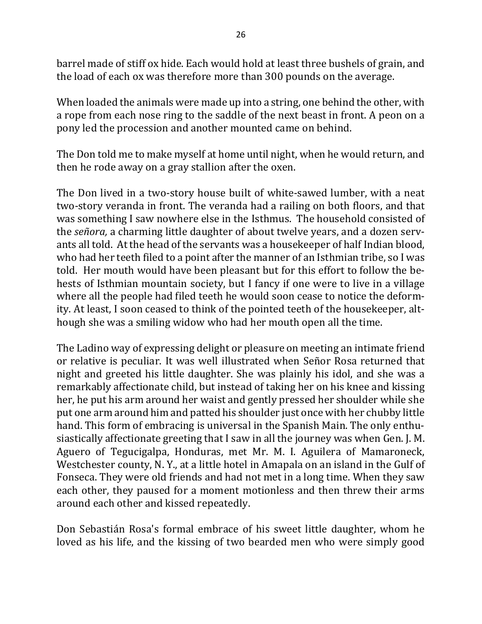barrel made of stiff ox hide. Each would hold at least three bushels of grain, and the load of each ox was therefore more than 300 pounds on the average.

When loaded the animals were made up into a string, one behind the other, with a rope from each nose ring to the saddle of the next beast in front. A peon on a pony led the procession and another mounted came on behind.

The Don told me to make myself at home until night, when he would return, and then he rode away on a gray stallion after the oxen.

The Don lived in a two-story house built of white-sawed lumber, with a neat two-story veranda in front. The veranda had a railing on both floors, and that was something I saw nowhere else in the Isthmus. The household consisted of the *señora*, a charming little daughter of about twelve years, and a dozen servants all told. At the head of the servants was a housekeeper of half Indian blood, who had her teeth filed to a point after the manner of an Isthmian tribe, so I was told. Her mouth would have been pleasant but for this effort to follow the behests of Isthmian mountain society, but I fancy if one were to live in a village where all the people had filed teeth he would soon cease to notice the deformity. At least, I soon ceased to think of the pointed teeth of the housekeeper, although she was a smiling widow who had her mouth open all the time.

The Ladino way of expressing delight or pleasure on meeting an intimate friend or relative is peculiar. It was well illustrated when Señor Rosa returned that night and greeted his little daughter. She was plainly his idol, and she was a remarkably affectionate child, but instead of taking her on his knee and kissing her, he put his arm around her waist and gently pressed her shoulder while she put one arm around him and patted his shoulder just once with her chubby little hand. This form of embracing is universal in the Spanish Main. The only enthusiastically affectionate greeting that I saw in all the journey was when Gen. J. M. Aguero of Tegucigalpa, Honduras, met Mr. M. I. Aguilera of Mamaroneck, Westchester county, N. Y., at a little hotel in Amapala on an island in the Gulf of Fonseca. They were old friends and had not met in a long time. When they saw each other, they paused for a moment motionless and then threw their arms around each other and kissed repeatedly.

Don Sebastián Rosa's formal embrace of his sweet little daughter, whom he loved as his life, and the kissing of two bearded men who were simply good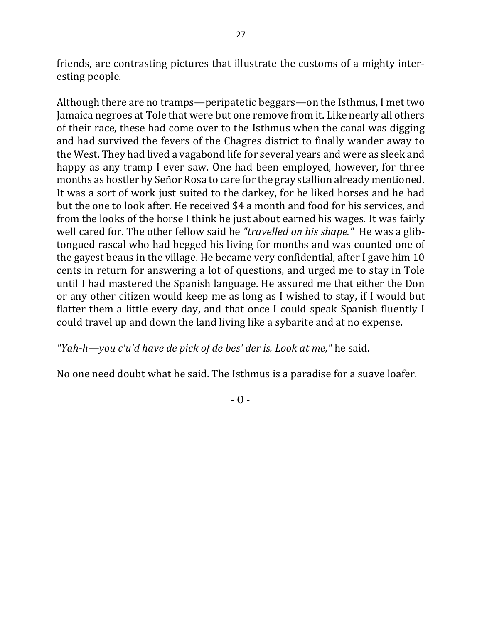friends, are contrasting pictures that illustrate the customs of a mighty interesting people.

Although there are no tramps—peripatetic beggars—on the Isthmus, I met two Jamaica negroes at Tole that were but one remove from it. Like nearly all others of their race, these had come over to the Isthmus when the canal was digging and had survived the fevers of the Chagres district to finally wander away to the West. They had lived a vagabond life for several years and were as sleek and happy as any tramp I ever saw. One had been employed, however, for three months as hostler by Señor Rosa to care for the gray stallion already mentioned. It was a sort of work just suited to the darkey, for he liked horses and he had but the one to look after. He received \$4 a month and food for his services, and from the looks of the horse I think he just about earned his wages. It was fairly well cared for. The other fellow said he "*travelled on his shape.*" He was a glibtongued rascal who had begged his living for months and was counted one of the gayest beaus in the village. He became very confidential, after I gave him  $10$ cents in return for answering a lot of questions, and urged me to stay in Tole until I had mastered the Spanish language. He assured me that either the Don or any other citizen would keep me as long as I wished to stay, if I would but flatter them a little every day, and that once I could speak Spanish fluently I could travel up and down the land living like a sybarite and at no expense.

"Yah-h—you c'u'd have de pick of de bes' der is. Look at me," he said.

No one need doubt what he said. The Isthmus is a paradise for a suave loafer.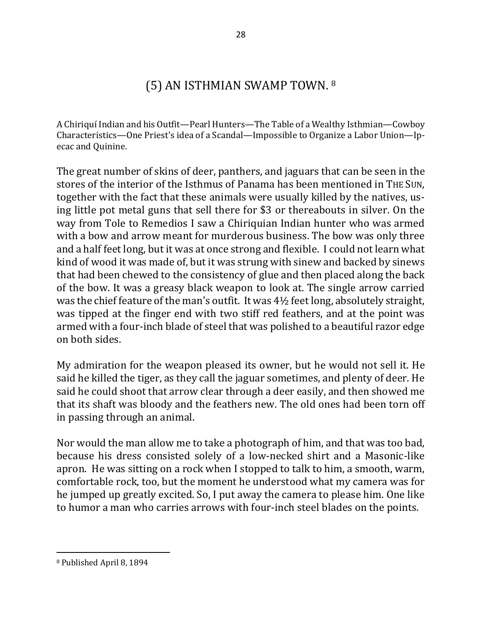# (5) AN ISTHMIAN SWAMP TOWN. 8

A Chiriquí Indian and his Outfit—Pearl Hunters—The Table of a Wealthy Isthmian—Cowboy Characteristics—One Priest's idea of a Scandal—Impossible to Organize a Labor Union—Ipecac and Quinine.

The great number of skins of deer, panthers, and jaguars that can be seen in the stores of the interior of the Isthmus of Panama has been mentioned in THE SUN, together with the fact that these animals were usually killed by the natives, using little pot metal guns that sell there for \$3 or thereabouts in silver. On the way from Tole to Remedios I saw a Chiriquian Indian hunter who was armed with a bow and arrow meant for murderous business. The bow was only three and a half feet long, but it was at once strong and flexible. I could not learn what kind of wood it was made of, but it was strung with sinew and backed by sinews that had been chewed to the consistency of glue and then placed along the back of the bow. It was a greasy black weapon to look at. The single arrow carried was the chief feature of the man's outfit. It was  $4\frac{1}{2}$  feet long, absolutely straight, was tipped at the finger end with two stiff red feathers, and at the point was armed with a four-inch blade of steel that was polished to a beautiful razor edge on both sides.

My admiration for the weapon pleased its owner, but he would not sell it. He said he killed the tiger, as they call the jaguar sometimes, and plenty of deer. He said he could shoot that arrow clear through a deer easily, and then showed me that its shaft was bloody and the feathers new. The old ones had been torn off in passing through an animal.

Nor would the man allow me to take a photograph of him, and that was too bad, because his dress consisted solely of a low-necked shirt and a Masonic-like apron. He was sitting on a rock when I stopped to talk to him, a smooth, warm, comfortable rock, too, but the moment he understood what my camera was for he jumped up greatly excited. So, I put away the camera to please him. One like to humor a man who carries arrows with four-inch steel blades on the points.

<sup>&</sup>lt;sup>8</sup> Published April 8, 1894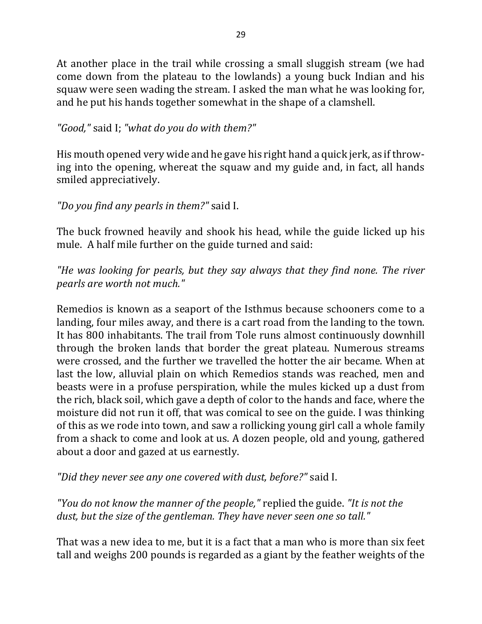At another place in the trail while crossing a small sluggish stream (we had come down from the plateau to the lowlands) a young buck Indian and his squaw were seen wading the stream. I asked the man what he was looking for, and he put his hands together somewhat in the shape of a clamshell.

### "Good," said I; "what do you do with them?"

His mouth opened very wide and he gave his right hand a quick jerk, as if throwing into the opening, whereat the squaw and my guide and, in fact, all hands smiled appreciatively.

### *"Do you find any pearls in them?"* said I.

The buck frowned heavily and shook his head, while the guide licked up his mule. A half mile further on the guide turned and said:

"He was looking for pearls, but they say always that they find none. The river *pearls are worth not much."*

Remedios is known as a seaport of the Isthmus because schooners come to a landing, four miles away, and there is a cart road from the landing to the town. It has 800 inhabitants. The trail from Tole runs almost continuously downhill through the broken lands that border the great plateau. Numerous streams were crossed, and the further we travelled the hotter the air became. When at last the low, alluvial plain on which Remedios stands was reached, men and beasts were in a profuse perspiration, while the mules kicked up a dust from the rich, black soil, which gave a depth of color to the hands and face, where the moisture did not run it off, that was comical to see on the guide. I was thinking of this as we rode into town, and saw a rollicking young girl call a whole family from a shack to come and look at us. A dozen people, old and young, gathered about a door and gazed at us earnestly.

*"Did they never see any one covered with dust, before?"* said I.

*"You do not know the manner of the people,"* replied the guide. *"It is not the* dust, but the size of the gentleman. They have never seen one so tall."

That was a new idea to me, but it is a fact that a man who is more than six feet tall and weighs 200 pounds is regarded as a giant by the feather weights of the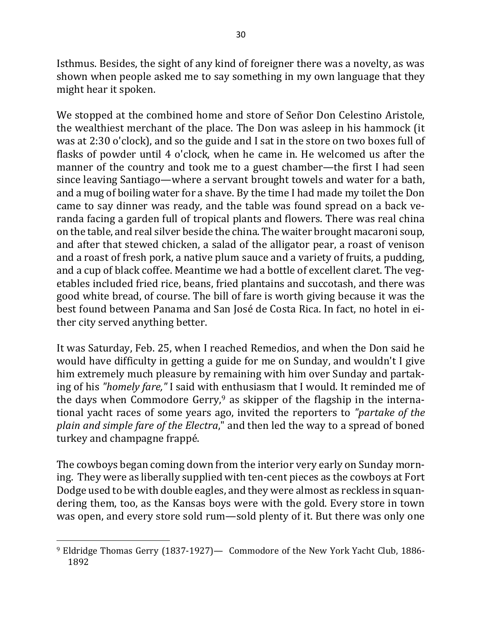Isthmus. Besides, the sight of any kind of foreigner there was a novelty, as was shown when people asked me to say something in my own language that they might hear it spoken.

We stopped at the combined home and store of Señor Don Celestino Aristole, the wealthiest merchant of the place. The Don was asleep in his hammock (it was at  $2:30$  o'clock), and so the guide and I sat in the store on two boxes full of flasks of powder until 4 o'clock, when he came in. He welcomed us after the manner of the country and took me to a guest chamber—the first I had seen since leaving Santiago—where a servant brought towels and water for a bath, and a mug of boiling water for a shave. By the time I had made my toilet the Don came to say dinner was ready, and the table was found spread on a back veranda facing a garden full of tropical plants and flowers. There was real china on the table, and real silver beside the china. The waiter brought macaroni soup, and after that stewed chicken, a salad of the alligator pear, a roast of venison and a roast of fresh pork, a native plum sauce and a variety of fruits, a pudding, and a cup of black coffee. Meantime we had a bottle of excellent claret. The vegetables included fried rice, beans, fried plantains and succotash, and there was good white bread, of course. The bill of fare is worth giving because it was the best found between Panama and San José de Costa Rica. In fact, no hotel in either city served anything better.

It was Saturday, Feb. 25, when I reached Remedios, and when the Don said he would have difficulty in getting a guide for me on Sunday, and wouldn't I give him extremely much pleasure by remaining with him over Sunday and partaking of his *"homely fare*," I said with enthusiasm that I would. It reminded me of the days when Commodore Gerry,<sup>9</sup> as skipper of the flagship in the international yacht races of some years ago, invited the reporters to "partake of the *plain and simple fare of the Electra*," and then led the way to a spread of boned turkey and champagne frappé.

The cowboys began coming down from the interior very early on Sunday morning. They were as liberally supplied with ten-cent pieces as the cowboys at Fort Dodge used to be with double eagles, and they were almost as reckless in squandering them, too, as the Kansas boys were with the gold. Every store in town was open, and every store sold rum—sold plenty of it. But there was only one

<sup>&</sup>lt;sup>9</sup> Eldridge Thomas Gerry (1837-1927)— Commodore of the New York Yacht Club, 1886-1892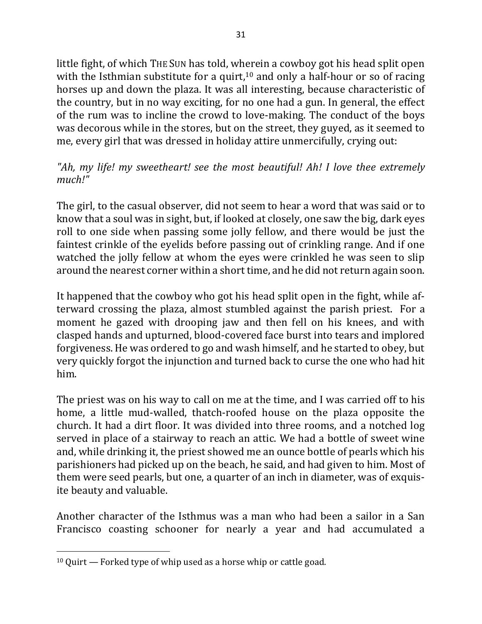little fight, of which THE SUN has told, wherein a cowboy got his head split open with the Isthmian substitute for a quirt,<sup>10</sup> and only a half-hour or so of racing horses up and down the plaza. It was all interesting, because characteristic of the country, but in no way exciting, for no one had a gun. In general, the effect of the rum was to incline the crowd to love-making. The conduct of the boys was decorous while in the stores, but on the street, they guyed, as it seemed to me, every girl that was dressed in holiday attire unmercifully, crying out:

### "Ah, my life! my sweetheart! see the most beautiful! Ah! I love thee extremely *much!"*

The girl, to the casual observer, did not seem to hear a word that was said or to know that a soul was in sight, but, if looked at closely, one saw the big, dark eyes roll to one side when passing some jolly fellow, and there would be just the faintest crinkle of the eyelids before passing out of crinkling range. And if one watched the jolly fellow at whom the eyes were crinkled he was seen to slip around the nearest corner within a short time, and he did not return again soon.

It happened that the cowboy who got his head split open in the fight, while afterward crossing the plaza, almost stumbled against the parish priest. For a moment he gazed with drooping jaw and then fell on his knees, and with clasped hands and upturned, blood-covered face burst into tears and implored forgiveness. He was ordered to go and wash himself, and he started to obey, but very quickly forgot the injunction and turned back to curse the one who had hit him.

The priest was on his way to call on me at the time, and I was carried off to his home, a little mud-walled, thatch-roofed house on the plaza opposite the church. It had a dirt floor. It was divided into three rooms, and a notched log served in place of a stairway to reach an attic. We had a bottle of sweet wine and, while drinking it, the priest showed me an ounce bottle of pearls which his parishioners had picked up on the beach, he said, and had given to him. Most of them were seed pearls, but one, a quarter of an inch in diameter, was of exquisite beauty and valuable.

Another character of the Isthmus was a man who had been a sailor in a San Francisco coasting schooner for nearly a year and had accumulated a

 $10$  Quirt — Forked type of whip used as a horse whip or cattle goad.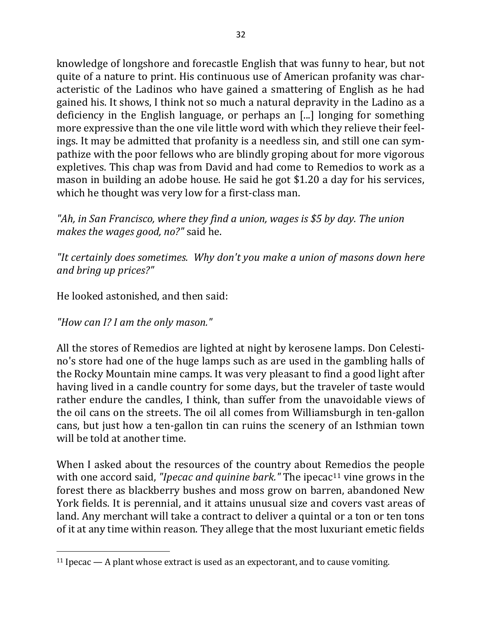knowledge of longshore and forecastle English that was funny to hear, but not quite of a nature to print. His continuous use of American profanity was characteristic of the Ladinos who have gained a smattering of English as he had gained his. It shows, I think not so much a natural depravity in the Ladino as a deficiency in the English language, or perhaps an [...] longing for something more expressive than the one vile little word with which they relieve their feelings. It may be admitted that profanity is a needless sin, and still one can sympathize with the poor fellows who are blindly groping about for more vigorous expletives. This chap was from David and had come to Remedios to work as a mason in building an adobe house. He said he got \$1.20 a day for his services, which he thought was very low for a first-class man.

"Ah, in San Francisco, where they find a union, wages is \$5 by day. The union *makes the wages good, no?"* said he.

"It certainly does sometimes. Why don't you make a union of masons down here *and bring up prices?"*

He looked astonished, and then said:

*"How can I? I am the only mason."*

 $\overline{a}$ 

All the stores of Remedios are lighted at night by kerosene lamps. Don Celestino's store had one of the huge lamps such as are used in the gambling halls of the Rocky Mountain mine camps. It was very pleasant to find a good light after having lived in a candle country for some days, but the traveler of taste would rather endure the candles, I think, than suffer from the unavoidable views of the oil cans on the streets. The oil all comes from Williamsburgh in ten-gallon cans, but just how a ten-gallon tin can ruins the scenery of an Isthmian town will be told at another time.

When I asked about the resources of the country about Remedios the people with one accord said, *"Ipecac and quinine bark."* The ipecac<sup>11</sup> vine grows in the forest there as blackberry bushes and moss grow on barren, abandoned New York fields. It is perennial, and it attains unusual size and covers vast areas of land. Any merchant will take a contract to deliver a quintal or a ton or ten tons of it at any time within reason. They allege that the most luxuriant emetic fields

<sup>&</sup>lt;sup>11</sup> Ipecac — A plant whose extract is used as an expectorant, and to cause vomiting.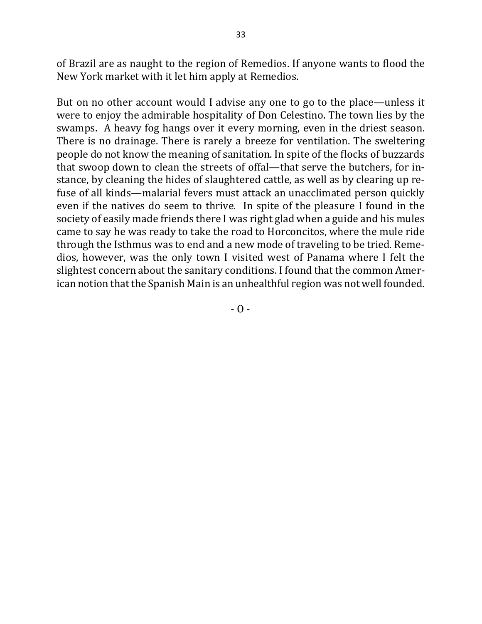of Brazil are as naught to the region of Remedios. If anyone wants to flood the New York market with it let him apply at Remedios.

But on no other account would I advise any one to go to the place—unless it were to enjoy the admirable hospitality of Don Celestino. The town lies by the swamps. A heavy fog hangs over it every morning, even in the driest season. There is no drainage. There is rarely a breeze for ventilation. The sweltering people do not know the meaning of sanitation. In spite of the flocks of buzzards that swoop down to clean the streets of offal—that serve the butchers, for instance, by cleaning the hides of slaughtered cattle, as well as by clearing up refuse of all kinds—malarial fevers must attack an unacclimated person quickly even if the natives do seem to thrive. In spite of the pleasure I found in the society of easily made friends there I was right glad when a guide and his mules came to say he was ready to take the road to Horconcitos, where the mule ride through the Isthmus was to end and a new mode of traveling to be tried. Remedios, however, was the only town I visited west of Panama where I felt the slightest concern about the sanitary conditions. I found that the common American notion that the Spanish Main is an unhealthful region was not well founded.

 $-$  O  $-$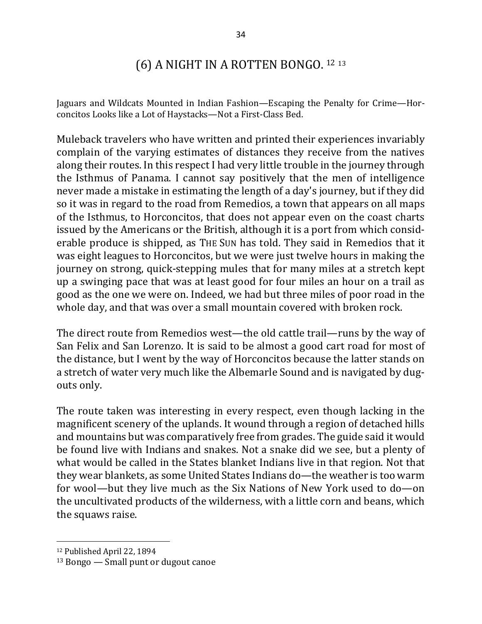## (6) A NIGHT IN A ROTTEN BONGO. 12 13

Jaguars and Wildcats Mounted in Indian Fashion—Escaping the Penalty for Crime—Horconcitos Looks like a Lot of Haystacks-Not a First-Class Bed.

Muleback travelers who have written and printed their experiences invariably complain of the varying estimates of distances they receive from the natives along their routes. In this respect I had very little trouble in the journey through the Isthmus of Panama. I cannot say positively that the men of intelligence never made a mistake in estimating the length of a day's journey, but if they did so it was in regard to the road from Remedios, a town that appears on all maps of the Isthmus, to Horconcitos, that does not appear even on the coast charts issued by the Americans or the British, although it is a port from which considerable produce is shipped, as THE SUN has told. They said in Remedios that it was eight leagues to Horconcitos, but we were just twelve hours in making the journey on strong, quick-stepping mules that for many miles at a stretch kept up a swinging pace that was at least good for four miles an hour on a trail as good as the one we were on. Indeed, we had but three miles of poor road in the whole day, and that was over a small mountain covered with broken rock.

The direct route from Remedios west—the old cattle trail—runs by the way of San Felix and San Lorenzo. It is said to be almost a good cart road for most of the distance, but I went by the way of Horconcitos because the latter stands on a stretch of water very much like the Albemarle Sound and is navigated by dugouts only.

The route taken was interesting in every respect, even though lacking in the magnificent scenery of the uplands. It wound through a region of detached hills and mountains but was comparatively free from grades. The guide said it would be found live with Indians and snakes. Not a snake did we see, but a plenty of what would be called in the States blanket Indians live in that region. Not that they wear blankets, as some United States Indians do-the weather is too warm for wool—but they live much as the Six Nations of New York used to do—on the uncultivated products of the wilderness, with a little corn and beans, which the squaws raise.

<sup>&</sup>lt;sup>12</sup> Published April 22, 1894

 $13$  Bongo  $-$  Small punt or dugout canoe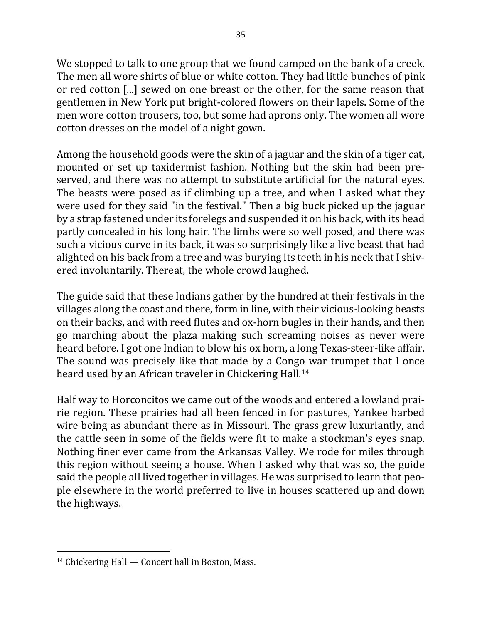We stopped to talk to one group that we found camped on the bank of a creek. The men all wore shirts of blue or white cotton. They had little bunches of pink or red cotton [...] sewed on one breast or the other, for the same reason that gentlemen in New York put bright-colored flowers on their lapels. Some of the men wore cotton trousers, too, but some had aprons only. The women all wore cotton dresses on the model of a night gown.

Among the household goods were the skin of a jaguar and the skin of a tiger cat, mounted or set up taxidermist fashion. Nothing but the skin had been preserved, and there was no attempt to substitute artificial for the natural eyes. The beasts were posed as if climbing up a tree, and when I asked what they were used for they said "in the festival." Then a big buck picked up the jaguar by a strap fastened under its forelegs and suspended it on his back, with its head partly concealed in his long hair. The limbs were so well posed, and there was such a vicious curve in its back, it was so surprisingly like a live beast that had alighted on his back from a tree and was burying its teeth in his neck that I shivered involuntarily. Thereat, the whole crowd laughed.

The guide said that these Indians gather by the hundred at their festivals in the villages along the coast and there, form in line, with their vicious-looking beasts on their backs, and with reed flutes and ox-horn bugles in their hands, and then go marching about the plaza making such screaming noises as never were heard before. I got one Indian to blow his ox horn, a long Texas-steer-like affair. The sound was precisely like that made by a Congo war trumpet that I once heard used by an African traveler in Chickering Hall.<sup>14</sup>

Half way to Horconcitos we came out of the woods and entered a lowland prairie region. These prairies had all been fenced in for pastures, Yankee barbed wire being as abundant there as in Missouri. The grass grew luxuriantly, and the cattle seen in some of the fields were fit to make a stockman's eyes snap. Nothing finer ever came from the Arkansas Valley. We rode for miles through this region without seeing a house. When I asked why that was so, the guide said the people all lived together in villages. He was surprised to learn that people elsewhere in the world preferred to live in houses scattered up and down the highways.

 $\overline{a}$  $14$  Chickering Hall  $-$  Concert hall in Boston, Mass.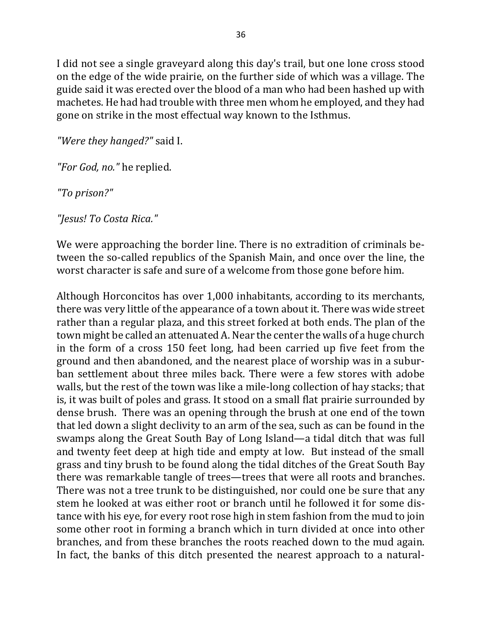I did not see a single graveyard along this day's trail, but one lone cross stood on the edge of the wide prairie, on the further side of which was a village. The guide said it was erected over the blood of a man who had been hashed up with machetes. He had had trouble with three men whom he employed, and they had gone on strike in the most effectual way known to the Isthmus.

*"Were they hanged?"* said I.

"For God, no." he replied.

*"To prison?"*

*"Jesus! To Costa Rica."*

We were approaching the border line. There is no extradition of criminals between the so-called republics of the Spanish Main, and once over the line, the worst character is safe and sure of a welcome from those gone before him.

Although Horconcitos has over 1,000 inhabitants, according to its merchants, there was very little of the appearance of a town about it. There was wide street rather than a regular plaza, and this street forked at both ends. The plan of the town might be called an attenuated A. Near the center the walls of a huge church in the form of a cross 150 feet long, had been carried up five feet from the ground and then abandoned, and the nearest place of worship was in a suburban settlement about three miles back. There were a few stores with adobe walls, but the rest of the town was like a mile-long collection of hay stacks; that is, it was built of poles and grass. It stood on a small flat prairie surrounded by dense brush. There was an opening through the brush at one end of the town that led down a slight declivity to an arm of the sea, such as can be found in the swamps along the Great South Bay of Long Island—a tidal ditch that was full and twenty feet deep at high tide and empty at low. But instead of the small grass and tiny brush to be found along the tidal ditches of the Great South Bay there was remarkable tangle of trees—trees that were all roots and branches. There was not a tree trunk to be distinguished, nor could one be sure that any stem he looked at was either root or branch until he followed it for some distance with his eye, for every root rose high in stem fashion from the mud to join some other root in forming a branch which in turn divided at once into other branches, and from these branches the roots reached down to the mud again. In fact, the banks of this ditch presented the nearest approach to a natural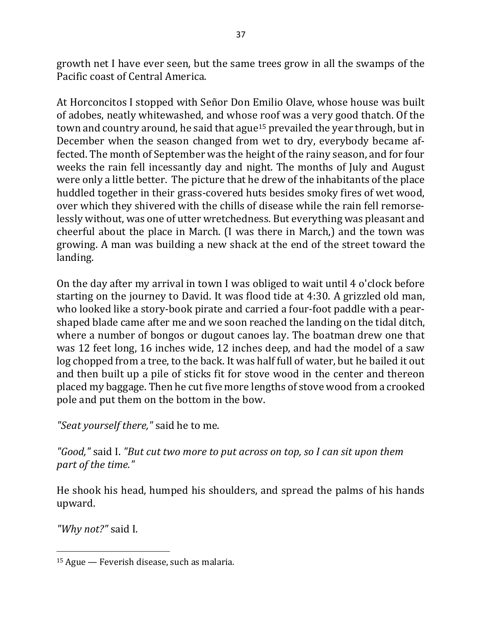growth net I have ever seen, but the same trees grow in all the swamps of the Pacific coast of Central America.

At Horconcitos I stopped with Señor Don Emilio Olave, whose house was built of adobes, neatly whitewashed, and whose roof was a very good thatch. Of the town and country around, he said that ague<sup>15</sup> prevailed the year through, but in December when the season changed from wet to dry, everybody became affected. The month of September was the height of the rainy season, and for four weeks the rain fell incessantly day and night. The months of July and August were only a little better. The picture that he drew of the inhabitants of the place huddled together in their grass-covered huts besides smoky fires of wet wood, over which they shivered with the chills of disease while the rain fell remorselessly without, was one of utter wretchedness. But everything was pleasant and cheerful about the place in March. (I was there in March,) and the town was growing. A man was building a new shack at the end of the street toward the landing. 

On the day after my arrival in town I was obliged to wait until 4 o'clock before starting on the journey to David. It was flood tide at 4:30. A grizzled old man, who looked like a story-book pirate and carried a four-foot paddle with a pearshaped blade came after me and we soon reached the landing on the tidal ditch, where a number of bongos or dugout canoes lay. The boatman drew one that was 12 feet long, 16 inches wide, 12 inches deep, and had the model of a saw log chopped from a tree, to the back. It was half full of water, but he bailed it out and then built up a pile of sticks fit for stove wood in the center and thereon placed my baggage. Then he cut five more lengths of stove wood from a crooked pole and put them on the bottom in the bow.

*"Seat yourself there,"* said he to me.

*"Good,"* said I. *"But cut two more to put across on top, so I can sit upon them*  part of the time."

He shook his head, humped his shoulders, and spread the palms of his hands upward.

*"Why not?"* said I.

 $15$  Ague — Feverish disease, such as malaria.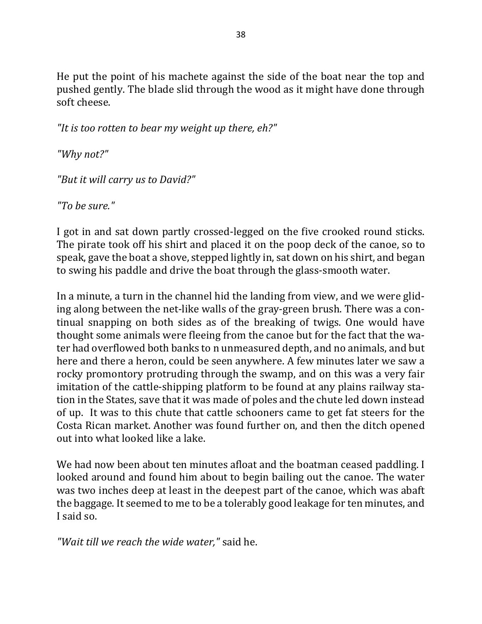He put the point of his machete against the side of the boat near the top and pushed gently. The blade slid through the wood as it might have done through soft cheese.

"It is too rotten to bear my weight up there, eh?"

*"Why not?"*

*"But it will carry us to David?"*

*"To be sure."*

I got in and sat down partly crossed-legged on the five crooked round sticks. The pirate took off his shirt and placed it on the poop deck of the canoe, so to speak, gave the boat a shove, stepped lightly in, sat down on his shirt, and began to swing his paddle and drive the boat through the glass-smooth water.

In a minute, a turn in the channel hid the landing from view, and we were gliding along between the net-like walls of the gray-green brush. There was a continual snapping on both sides as of the breaking of twigs. One would have thought some animals were fleeing from the canoe but for the fact that the water had overflowed both banks to n unmeasured depth, and no animals, and but here and there a heron, could be seen anywhere. A few minutes later we saw a rocky promontory protruding through the swamp, and on this was a very fair imitation of the cattle-shipping platform to be found at any plains railway station in the States, save that it was made of poles and the chute led down instead of up. It was to this chute that cattle schooners came to get fat steers for the Costa Rican market. Another was found further on, and then the ditch opened out into what looked like a lake.

We had now been about ten minutes afloat and the boatman ceased paddling. I looked around and found him about to begin bailing out the canoe. The water was two inches deep at least in the deepest part of the canoe, which was abaft the baggage. It seemed to me to be a tolerably good leakage for ten minutes, and I said so.

*"Wait till we reach the wide water,"* said he.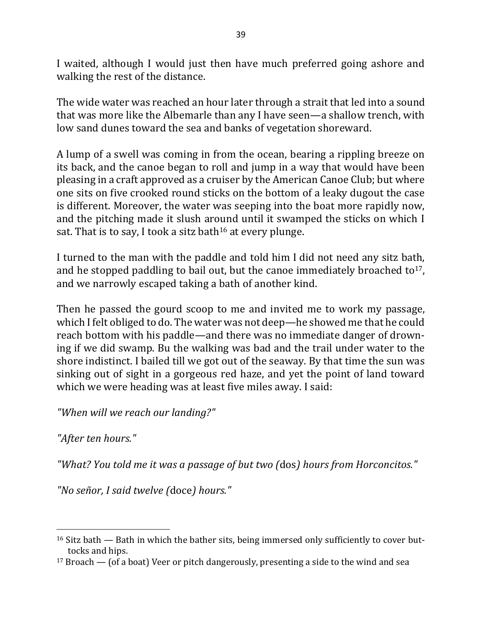I waited, although I would just then have much preferred going ashore and walking the rest of the distance.

The wide water was reached an hour later through a strait that led into a sound that was more like the Albemarle than any I have seen—a shallow trench, with low sand dunes toward the sea and banks of vegetation shoreward.

A lump of a swell was coming in from the ocean, bearing a rippling breeze on its back, and the canoe began to roll and jump in a way that would have been pleasing in a craft approved as a cruiser by the American Canoe Club; but where one sits on five crooked round sticks on the bottom of a leaky dugout the case is different. Moreover, the water was seeping into the boat more rapidly now, and the pitching made it slush around until it swamped the sticks on which I sat. That is to say, I took a sitz bath<sup>16</sup> at every plunge.

I turned to the man with the paddle and told him I did not need any sitz bath, and he stopped paddling to bail out, but the canoe immediately broached to<sup>17</sup>, and we narrowly escaped taking a bath of another kind.

Then he passed the gourd scoop to me and invited me to work my passage, which I felt obliged to do. The water was not deep—he showed me that he could reach bottom with his paddle—and there was no immediate danger of drowning if we did swamp. Bu the walking was bad and the trail under water to the shore indistinct. I bailed till we got out of the seaway. By that time the sun was sinking out of sight in a gorgeous red haze, and yet the point of land toward which we were heading was at least five miles away. I said:

*"When will we reach our landing?"*

"After ten hours."

 $\overline{a}$ 

*"What? You told me it was a passage of but two (*dos*) hours from Horconcitos."*

*"No señor, I said twelve (*doce*) hours."*

 $16$  Sitz bath  $-$  Bath in which the bather sits, being immersed only sufficiently to cover buttocks and hips.

 $17$  Broach — (of a boat) Veer or pitch dangerously, presenting a side to the wind and sea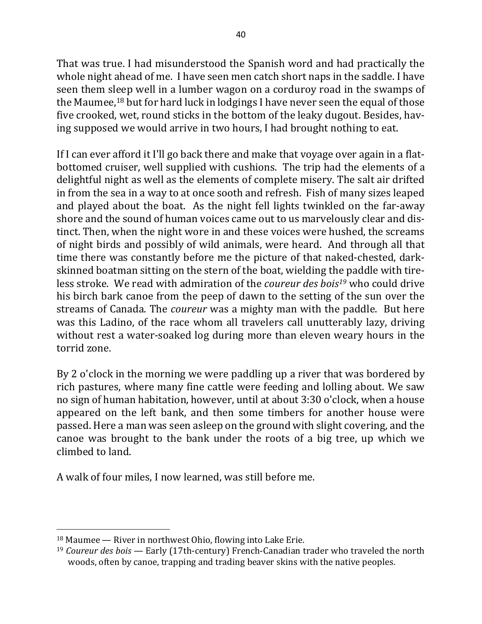That was true. I had misunderstood the Spanish word and had practically the whole night ahead of me. I have seen men catch short naps in the saddle. I have seen them sleep well in a lumber wagon on a corduroy road in the swamps of the Maumee,<sup>18</sup> but for hard luck in lodgings I have never seen the equal of those five crooked, wet, round sticks in the bottom of the leaky dugout. Besides, having supposed we would arrive in two hours, I had brought nothing to eat.

If I can ever afford it I'll go back there and make that voyage over again in a flatbottomed cruiser, well supplied with cushions. The trip had the elements of a delightful night as well as the elements of complete misery. The salt air drifted in from the sea in a way to at once sooth and refresh. Fish of many sizes leaped and played about the boat. As the night fell lights twinkled on the far-away shore and the sound of human voices came out to us marvelously clear and distinct. Then, when the night wore in and these voices were hushed, the screams of night birds and possibly of wild animals, were heard. And through all that time there was constantly before me the picture of that naked-chested, darkskinned boatman sitting on the stern of the boat, wielding the paddle with tireless stroke. We read with admiration of the *coureur des bois<sup>19</sup>* who could drive his birch bark canoe from the peep of dawn to the setting of the sun over the streams of Canada. The *coureur* was a mighty man with the paddle. But here was this Ladino, of the race whom all travelers call unutterably lazy, driving without rest a water-soaked log during more than eleven weary hours in the torrid zone.

By 2 o'clock in the morning we were paddling up a river that was bordered by rich pastures, where many fine cattle were feeding and lolling about. We saw no sign of human habitation, however, until at about 3:30 o'clock, when a house appeared on the left bank, and then some timbers for another house were passed. Here a man was seen asleep on the ground with slight covering, and the canoe was brought to the bank under the roots of a big tree, up which we climbed to land.

A walk of four miles, I now learned, was still before me.

 $18$  Maumee — River in northwest Ohio, flowing into Lake Erie.

<sup>&</sup>lt;sup>19</sup> *Coureur des bois* — Early (17th-century) French-Canadian trader who traveled the north woods, often by canoe, trapping and trading beaver skins with the native peoples.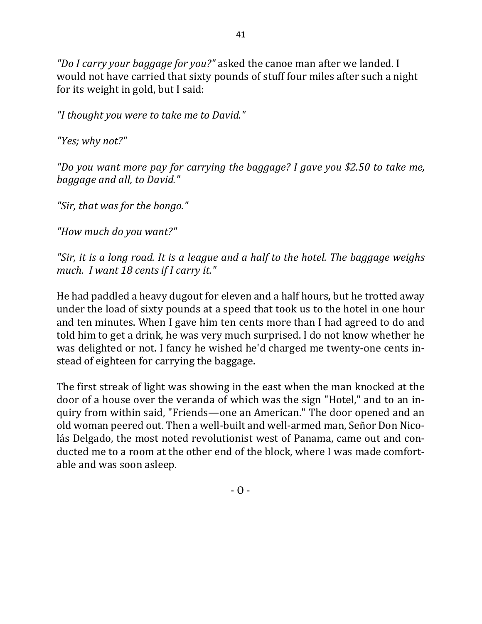"Do I carry your baggage for you?" asked the canoe man after we landed. I would not have carried that sixty pounds of stuff four miles after such a night for its weight in gold, but I said:

*"I thought you were to take me to David."*

*"Yes; why not?"*

*"Do you want more pay for carrying the baggage? I gave you \$2.50 to take me, baggage and all, to David."* 

*"Sir, that was for the bongo."*

*"How much do you want?"*

"Sir, it is a long road. It is a league and a half to the hotel. The baggage weighs much. I want 18 cents if I carry it."

He had paddled a heavy dugout for eleven and a half hours, but he trotted away under the load of sixty pounds at a speed that took us to the hotel in one hour and ten minutes. When I gave him ten cents more than I had agreed to do and told him to get a drink, he was very much surprised. I do not know whether he was delighted or not. I fancy he wished he'd charged me twenty-one cents instead of eighteen for carrying the baggage.

The first streak of light was showing in the east when the man knocked at the door of a house over the veranda of which was the sign "Hotel," and to an inquiry from within said, "Friends—one an American." The door opened and an old woman peered out. Then a well-built and well-armed man, Señor Don Nicolás Delgado, the most noted revolutionist west of Panama, came out and conducted me to a room at the other end of the block, where I was made comfortable and was soon asleep.

41

 $-$  O  $-$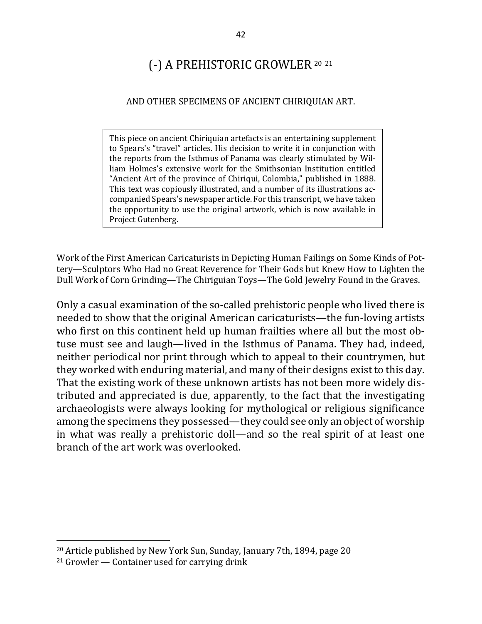# (-) A PREHISTORIC GROWLER 20 <sup>21</sup>

#### AND OTHER SPECIMENS OF ANCIENT CHIRIQUIAN ART.

This piece on ancient Chiriquian artefacts is an entertaining supplement to Spears's "travel" articles. His decision to write it in conjunction with the reports from the Isthmus of Panama was clearly stimulated by William Holmes's extensive work for the Smithsonian Institution entitled "Ancient Art of the province of Chiriqui, Colombia," published in 1888. This text was copiously illustrated, and a number of its illustrations accompanied Spears's newspaper article. For this transcript, we have taken the opportunity to use the original artwork, which is now available in Project Gutenberg.

Work of the First American Caricaturists in Depicting Human Failings on Some Kinds of Pottery—Sculptors Who Had no Great Reverence for Their Gods but Knew How to Lighten the Dull Work of Corn Grinding—The Chiriguian Toys—The Gold Jewelry Found in the Graves.

Only a casual examination of the so-called prehistoric people who lived there is needed to show that the original American caricaturists—the fun-loving artists who first on this continent held up human frailties where all but the most obtuse must see and laugh—lived in the Isthmus of Panama. They had, indeed, neither periodical nor print through which to appeal to their countrymen, but they worked with enduring material, and many of their designs exist to this day. That the existing work of these unknown artists has not been more widely distributed and appreciated is due, apparently, to the fact that the investigating archaeologists were always looking for mythological or religious significance among the specimens they possessed—they could see only an object of worship in what was really a prehistoric doll—and so the real spirit of at least one branch of the art work was overlooked.

<sup>&</sup>lt;sup>20</sup> Article published by New York Sun, Sunday, January 7th, 1894, page 20

 $21$  Growler — Container used for carrying drink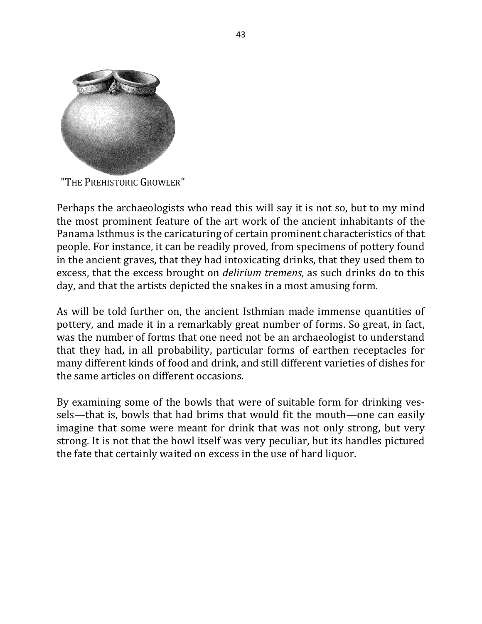

"THE PREHISTORIC GROWLER"

Perhaps the archaeologists who read this will say it is not so, but to my mind the most prominent feature of the art work of the ancient inhabitants of the Panama Isthmus is the caricaturing of certain prominent characteristics of that people. For instance, it can be readily proved, from specimens of pottery found in the ancient graves, that they had intoxicating drinks, that they used them to excess, that the excess brought on *delirium tremens*, as such drinks do to this day, and that the artists depicted the snakes in a most amusing form.

As will be told further on, the ancient Isthmian made immense quantities of pottery, and made it in a remarkably great number of forms. So great, in fact, was the number of forms that one need not be an archaeologist to understand that they had, in all probability, particular forms of earthen receptacles for many different kinds of food and drink, and still different varieties of dishes for the same articles on different occasions.

By examining some of the bowls that were of suitable form for drinking vessels—that is, bowls that had brims that would fit the mouth—one can easily imagine that some were meant for drink that was not only strong, but very strong. It is not that the bowl itself was very peculiar, but its handles pictured the fate that certainly waited on excess in the use of hard liquor.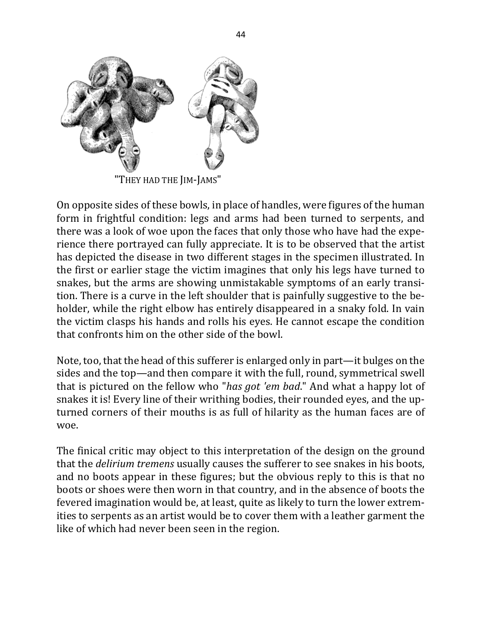

"They had the Jim-Jams"

On opposite sides of these bowls, in place of handles, were figures of the human form in frightful condition: legs and arms had been turned to serpents, and there was a look of woe upon the faces that only those who have had the experience there portrayed can fully appreciate. It is to be observed that the artist has depicted the disease in two different stages in the specimen illustrated. In the first or earlier stage the victim imagines that only his legs have turned to snakes, but the arms are showing unmistakable symptoms of an early transition. There is a curve in the left shoulder that is painfully suggestive to the beholder, while the right elbow has entirely disappeared in a snaky fold. In vain the victim clasps his hands and rolls his eyes. He cannot escape the condition that confronts him on the other side of the bowl.

Note, too, that the head of this sufferer is enlarged only in part—it bulges on the sides and the top—and then compare it with the full, round, symmetrical swell that is pictured on the fellow who "*has got 'em bad*." And what a happy lot of snakes it is! Every line of their writhing bodies, their rounded eyes, and the upturned corners of their mouths is as full of hilarity as the human faces are of woe.

The finical critic may object to this interpretation of the design on the ground that the *delirium tremens* usually causes the sufferer to see snakes in his boots, and no boots appear in these figures; but the obvious reply to this is that no boots or shoes were then worn in that country, and in the absence of boots the fevered imagination would be, at least, quite as likely to turn the lower extremities to serpents as an artist would be to cover them with a leather garment the like of which had never been seen in the region.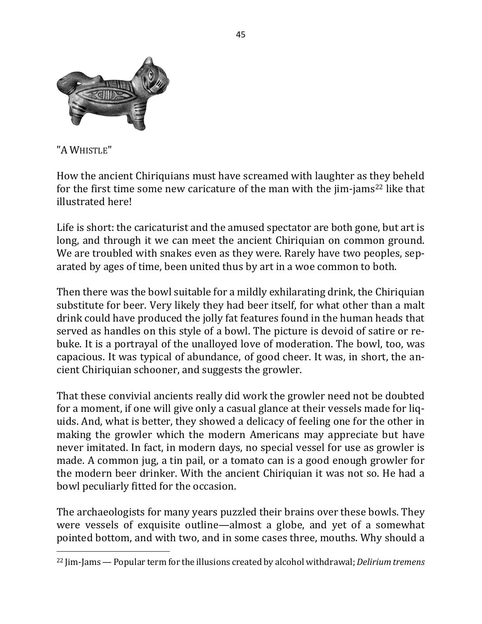

"A WHISTLE"

 $\overline{a}$ 

How the ancient Chiriquians must have screamed with laughter as they beheld for the first time some new caricature of the man with the  $\lim$ -jams<sup>22</sup> like that illustrated here!

Life is short: the caricaturist and the amused spectator are both gone, but art is long, and through it we can meet the ancient Chiriquian on common ground. We are troubled with snakes even as they were. Rarely have two peoples, separated by ages of time, been united thus by art in a woe common to both.

Then there was the bowl suitable for a mildly exhilarating drink, the Chiriquian substitute for beer. Very likely they had beer itself, for what other than a malt drink could have produced the jolly fat features found in the human heads that served as handles on this style of a bowl. The picture is devoid of satire or rebuke. It is a portrayal of the unalloyed love of moderation. The bowl, too, was capacious. It was typical of abundance, of good cheer. It was, in short, the ancient Chiriquian schooner, and suggests the growler.

That these convivial ancients really did work the growler need not be doubted for a moment, if one will give only a casual glance at their vessels made for liquids. And, what is better, they showed a delicacy of feeling one for the other in making the growler which the modern Americans may appreciate but have never imitated. In fact, in modern days, no special vessel for use as growler is made. A common jug, a tin pail, or a tomato can is a good enough growler for the modern beer drinker. With the ancient Chiriquian it was not so. He had a bowl peculiarly fitted for the occasion.

The archaeologists for many years puzzled their brains over these bowls. They were vessels of exquisite outline—almost a globe, and yet of a somewhat pointed bottom, and with two, and in some cases three, mouths. Why should a

<sup>&</sup>lt;sup>22</sup> Jim-Jams — Popular term for the illusions created by alcohol withdrawal; *Delirium tremens*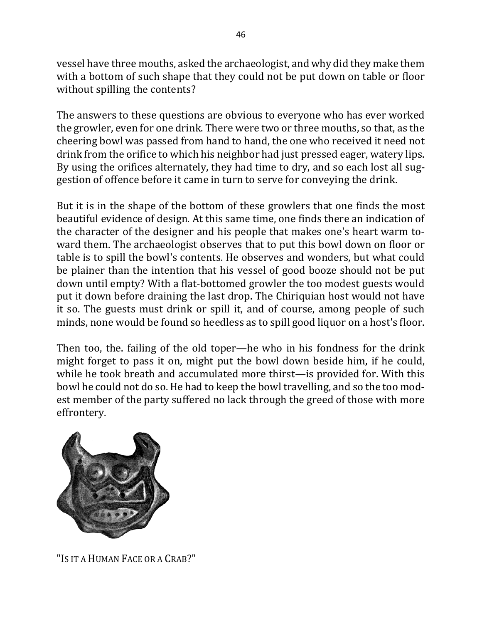vessel have three mouths, asked the archaeologist, and why did they make them with a bottom of such shape that they could not be put down on table or floor without spilling the contents?

The answers to these questions are obvious to everyone who has ever worked the growler, even for one drink. There were two or three mouths, so that, as the cheering bowl was passed from hand to hand, the one who received it need not drink from the orifice to which his neighbor had just pressed eager, watery lips. By using the orifices alternately, they had time to dry, and so each lost all suggestion of offence before it came in turn to serve for conveying the drink.

But it is in the shape of the bottom of these growlers that one finds the most beautiful evidence of design. At this same time, one finds there an indication of the character of the designer and his people that makes one's heart warm toward them. The archaeologist observes that to put this bowl down on floor or table is to spill the bowl's contents. He observes and wonders, but what could be plainer than the intention that his vessel of good booze should not be put down until empty? With a flat-bottomed growler the too modest guests would put it down before draining the last drop. The Chiriquian host would not have it so. The guests must drink or spill it, and of course, among people of such minds, none would be found so heedless as to spill good liquor on a host's floor.

Then too, the. failing of the old toper—he who in his fondness for the drink might forget to pass it on, might put the bowl down beside him, if he could, while he took breath and accumulated more thirst—is provided for. With this bowl he could not do so. He had to keep the bowl travelling, and so the too modest member of the party suffered no lack through the greed of those with more effrontery.



"IS IT A HUMAN FACE OR A CRAB?"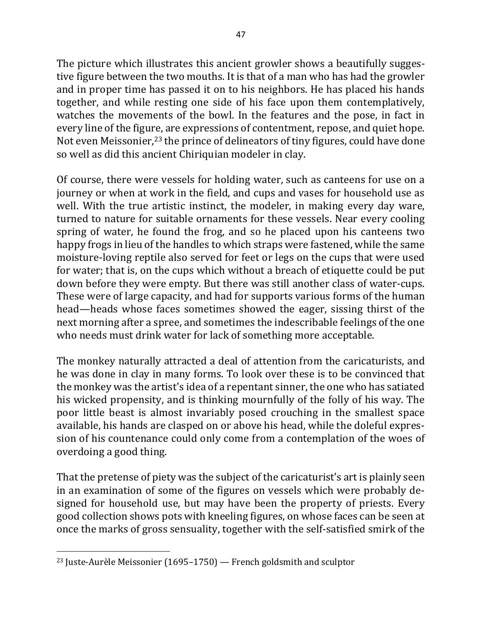The picture which illustrates this ancient growler shows a beautifully suggestive figure between the two mouths. It is that of a man who has had the growler and in proper time has passed it on to his neighbors. He has placed his hands together, and while resting one side of his face upon them contemplatively, watches the movements of the bowl. In the features and the pose, in fact in every line of the figure, are expressions of contentment, repose, and quiet hope. Not even Meissonier,<sup>23</sup> the prince of delineators of tiny figures, could have done so well as did this ancient Chiriquian modeler in clay.

Of course, there were vessels for holding water, such as canteens for use on a journey or when at work in the field, and cups and vases for household use as well. With the true artistic instinct, the modeler, in making every day ware, turned to nature for suitable ornaments for these vessels. Near every cooling spring of water, he found the frog, and so he placed upon his canteens two happy frogs in lieu of the handles to which straps were fastened, while the same moisture-loving reptile also served for feet or legs on the cups that were used for water; that is, on the cups which without a breach of etiquette could be put down before they were empty. But there was still another class of water-cups. These were of large capacity, and had for supports various forms of the human head—heads whose faces sometimes showed the eager, sissing thirst of the next morning after a spree, and sometimes the indescribable feelings of the one who needs must drink water for lack of something more acceptable.

The monkey naturally attracted a deal of attention from the caricaturists, and he was done in clay in many forms. To look over these is to be convinced that the monkey was the artist's idea of a repentant sinner, the one who has satiated his wicked propensity, and is thinking mournfully of the folly of his way. The poor little beast is almost invariably posed crouching in the smallest space available, his hands are clasped on or above his head, while the doleful expression of his countenance could only come from a contemplation of the woes of overdoing a good thing.

That the pretense of piety was the subject of the caricaturist's art is plainly seen in an examination of some of the figures on vessels which were probably designed for household use, but may have been the property of priests. Every good collection shows pots with kneeling figures, on whose faces can be seen at once the marks of gross sensuality, together with the self-satisfied smirk of the

<sup>&</sup>lt;sup>23</sup> Juste-Aurèle Meissonier (1695–1750) — French goldsmith and sculptor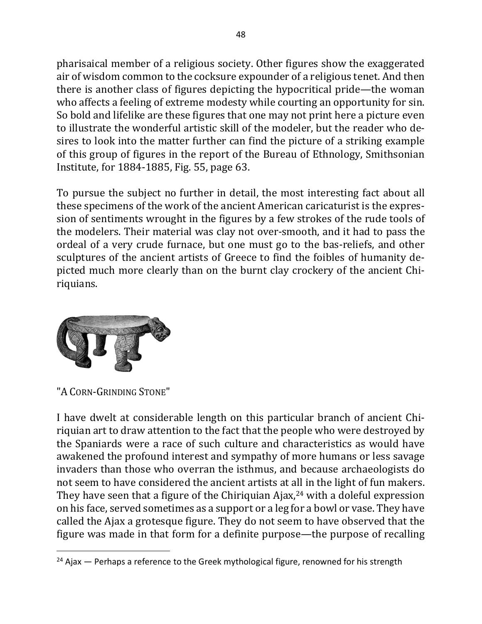pharisaical member of a religious society. Other figures show the exaggerated air of wisdom common to the cocksure expounder of a religious tenet. And then there is another class of figures depicting the hypocritical pride—the woman who affects a feeling of extreme modesty while courting an opportunity for sin. So bold and lifelike are these figures that one may not print here a picture even to illustrate the wonderful artistic skill of the modeler, but the reader who desires to look into the matter further can find the picture of a striking example of this group of figures in the report of the Bureau of Ethnology, Smithsonian Institute, for 1884-1885, Fig. 55, page 63.

To pursue the subject no further in detail, the most interesting fact about all these specimens of the work of the ancient American caricaturist is the expression of sentiments wrought in the figures by a few strokes of the rude tools of the modelers. Their material was clay not over-smooth, and it had to pass the ordeal of a very crude furnace, but one must go to the bas-reliefs, and other sculptures of the ancient artists of Greece to find the foibles of humanity depicted much more clearly than on the burnt clay crockery of the ancient Chiriquians.



"A CORN-GRINDING STONE"

I have dwelt at considerable length on this particular branch of ancient Chiriquian art to draw attention to the fact that the people who were destroyed by the Spaniards were a race of such culture and characteristics as would have awakened the profound interest and sympathy of more humans or less savage invaders than those who overran the isthmus, and because archaeologists do not seem to have considered the ancient artists at all in the light of fun makers. They have seen that a figure of the Chiriquian Ajax, $24$  with a doleful expression on his face, served sometimes as a support or a leg for a bowl or vase. They have called the Ajax a grotesque figure. They do not seem to have observed that the figure was made in that form for a definite purpose—the purpose of recalling

 $24$  Ajax  $-$  Perhaps a reference to the Greek mythological figure, renowned for his strength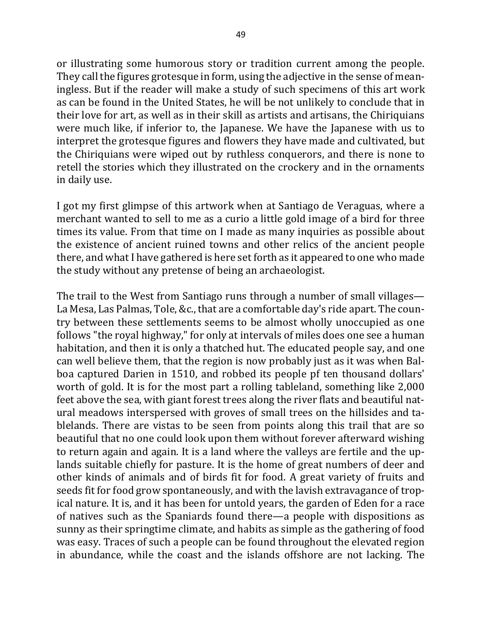or illustrating some humorous story or tradition current among the people. They call the figures grotesque in form, using the adjective in the sense of meaningless. But if the reader will make a study of such specimens of this art work as can be found in the United States, he will be not unlikely to conclude that in their love for art, as well as in their skill as artists and artisans, the Chiriquians were much like, if inferior to, the Japanese. We have the Japanese with us to interpret the grotesque figures and flowers they have made and cultivated, but the Chiriquians were wiped out by ruthless conquerors, and there is none to retell the stories which they illustrated on the crockery and in the ornaments in daily use.

I got my first glimpse of this artwork when at Santiago de Veraguas, where a merchant wanted to sell to me as a curio a little gold image of a bird for three times its value. From that time on I made as many inquiries as possible about the existence of ancient ruined towns and other relics of the ancient people there, and what I have gathered is here set forth as it appeared to one who made the study without any pretense of being an archaeologist.

The trail to the West from Santiago runs through a number of small villages— La Mesa, Las Palmas, Tole, &c., that are a comfortable day's ride apart. The country between these settlements seems to be almost wholly unoccupied as one follows "the royal highway," for only at intervals of miles does one see a human habitation, and then it is only a thatched hut. The educated people say, and one can well believe them, that the region is now probably just as it was when Balboa captured Darien in 1510, and robbed its people pf ten thousand dollars' worth of gold. It is for the most part a rolling tableland, something like 2,000 feet above the sea, with giant forest trees along the river flats and beautiful natural meadows interspersed with groves of small trees on the hillsides and tablelands. There are vistas to be seen from points along this trail that are so beautiful that no one could look upon them without forever afterward wishing to return again and again. It is a land where the valleys are fertile and the uplands suitable chiefly for pasture. It is the home of great numbers of deer and other kinds of animals and of birds fit for food. A great variety of fruits and seeds fit for food grow spontaneously, and with the lavish extravagance of tropical nature. It is, and it has been for untold years, the garden of Eden for a race of natives such as the Spaniards found there—a people with dispositions as sunny as their springtime climate, and habits as simple as the gathering of food was easy. Traces of such a people can be found throughout the elevated region in abundance, while the coast and the islands offshore are not lacking. The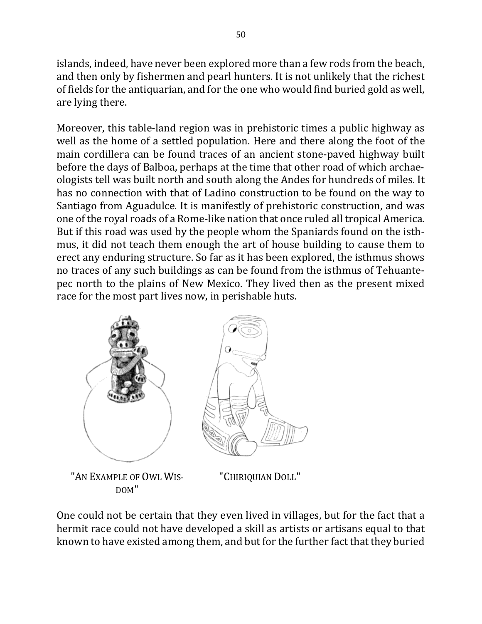islands, indeed, have never been explored more than a few rods from the beach, and then only by fishermen and pearl hunters. It is not unlikely that the richest of fields for the antiquarian, and for the one who would find buried gold as well, are lying there.

Moreover, this table-land region was in prehistoric times a public highway as well as the home of a settled population. Here and there along the foot of the main cordillera can be found traces of an ancient stone-paved highway built before the days of Balboa, perhaps at the time that other road of which archaeologists tell was built north and south along the Andes for hundreds of miles. It has no connection with that of Ladino construction to be found on the way to Santiago from Aguadulce. It is manifestly of prehistoric construction, and was one of the royal roads of a Rome-like nation that once ruled all tropical America. But if this road was used by the people whom the Spaniards found on the isthmus, it did not teach them enough the art of house building to cause them to erect any enduring structure. So far as it has been explored, the isthmus shows no traces of any such buildings as can be found from the isthmus of Tehuantepec north to the plains of New Mexico. They lived then as the present mixed race for the most part lives now, in perishable huts.



One could not be certain that they even lived in villages, but for the fact that a hermit race could not have developed a skill as artists or artisans equal to that known to have existed among them, and but for the further fact that they buried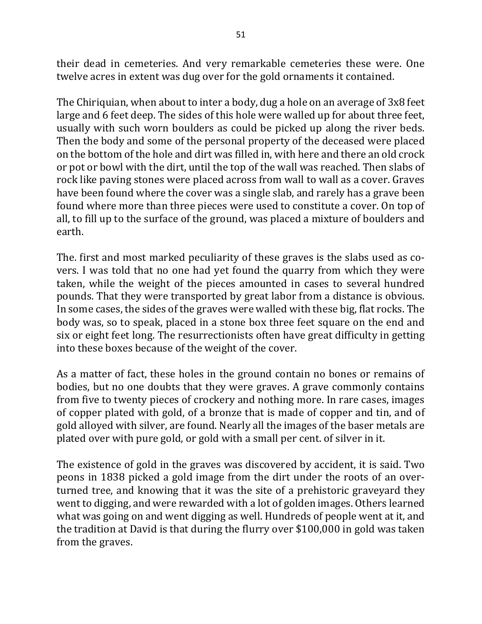their dead in cemeteries. And very remarkable cemeteries these were. One twelve acres in extent was dug over for the gold ornaments it contained.

The Chiriquian, when about to inter a body, dug a hole on an average of 3x8 feet large and 6 feet deep. The sides of this hole were walled up for about three feet, usually with such worn boulders as could be picked up along the river beds. Then the body and some of the personal property of the deceased were placed on the bottom of the hole and dirt was filled in, with here and there an old crock or pot or bowl with the dirt, until the top of the wall was reached. Then slabs of rock like paving stones were placed across from wall to wall as a cover. Graves have been found where the cover was a single slab, and rarely has a grave been found where more than three pieces were used to constitute a cover. On top of all, to fill up to the surface of the ground, was placed a mixture of boulders and earth.

The. first and most marked peculiarity of these graves is the slabs used as covers. I was told that no one had yet found the quarry from which they were taken, while the weight of the pieces amounted in cases to several hundred pounds. That they were transported by great labor from a distance is obvious. In some cases, the sides of the graves were walled with these big, flat rocks. The body was, so to speak, placed in a stone box three feet square on the end and six or eight feet long. The resurrectionists often have great difficulty in getting into these boxes because of the weight of the cover.

As a matter of fact, these holes in the ground contain no bones or remains of bodies, but no one doubts that they were graves. A grave commonly contains from five to twenty pieces of crockery and nothing more. In rare cases, images of copper plated with gold, of a bronze that is made of copper and tin, and of gold alloyed with silver, are found. Nearly all the images of the baser metals are plated over with pure gold, or gold with a small per cent. of silver in it.

The existence of gold in the graves was discovered by accident, it is said. Two peons in 1838 picked a gold image from the dirt under the roots of an overturned tree, and knowing that it was the site of a prehistoric graveyard they went to digging, and were rewarded with a lot of golden images. Others learned what was going on and went digging as well. Hundreds of people went at it, and the tradition at David is that during the flurry over \$100,000 in gold was taken from the graves.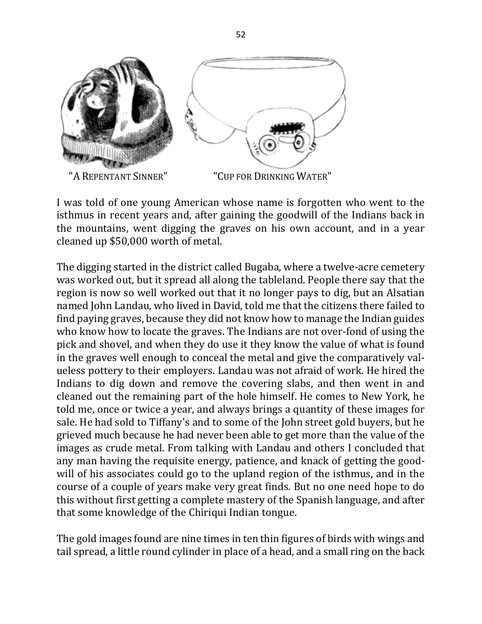

I was told of one young American whose name is forgotten who went to the isthmus in recent years and, after gaining the goodwill of the Indians back in the mountains, went digging the graves on his own account, and in a year cleaned up \$50,000 worth of metal.

The digging started in the district called Bugaba, where a twelve-acre cemetery was worked out, but it spread all along the tableland. People there say that the region is now so well worked out that it no longer pays to dig, but an Alsatian named John Landau, who lived in David, told me that the citizens there failed to find paying graves, because they did not know how to manage the Indian guides who know how to locate the graves. The Indians are not over-fond of using the pick and shovel, and when they do use it they know the value of what is found in the graves well enough to conceal the metal and give the comparatively valueless pottery to their employers. Landau was not afraid of work. He hired the Indians to dig down and remove the covering slabs, and then went in and cleaned out the remaining part of the hole himself. He comes to New York, he told me, once or twice a year, and always brings a quantity of these images for sale. He had sold to Tiffany's and to some of the John street gold buyers, but he grieved much because he had never been able to get more than the value of the images as crude metal. From talking with Landau and others I concluded that any man having the requisite energy, patience, and knack of getting the goodwill of his associates could go to the upland region of the isthmus, and in the course of a couple of years make very great finds. But no one need hope to do this without first getting a complete mastery of the Spanish language, and after that some knowledge of the Chiriqui Indian tongue.

The gold images found are nine times in ten thin figures of birds with wings and tail spread, a little round cylinder in place of a head, and a small ring on the back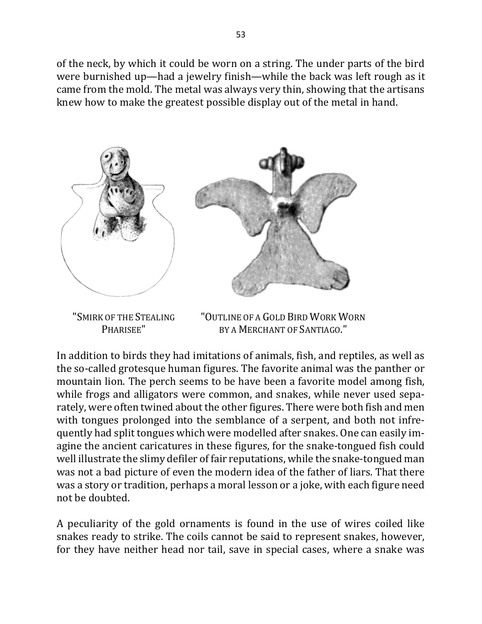of the neck, by which it could be worn on a string. The under parts of the bird were burnished up—had a jewelry finish—while the back was left rough as it came from the mold. The metal was always very thin, showing that the artisans knew how to make the greatest possible display out of the metal in hand.



"SMIRK OF THE STEALING PHARISEE"

"OUTLINE OF A GOLD BIRD WORK WORN BY A MERCHANT OF SANTIAGO."

In addition to birds they had imitations of animals, fish, and reptiles, as well as the so-called grotesque human figures. The favorite animal was the panther or mountain lion. The perch seems to be have been a favorite model among fish, while frogs and alligators were common, and snakes, while never used separately, were often twined about the other figures. There were both fish and men with tongues prolonged into the semblance of a serpent, and both not infrequently had split tongues which were modelled after snakes. One can easily imagine the ancient caricatures in these figures, for the snake-tongued fish could well illustrate the slimy defiler of fair reputations, while the snake-tongued man was not a bad picture of even the modern idea of the father of liars. That there was a story or tradition, perhaps a moral lesson or a joke, with each figure need not be doubted.

A peculiarity of the gold ornaments is found in the use of wires coiled like snakes ready to strike. The coils cannot be said to represent snakes, however, for they have neither head nor tail, save in special cases, where a snake was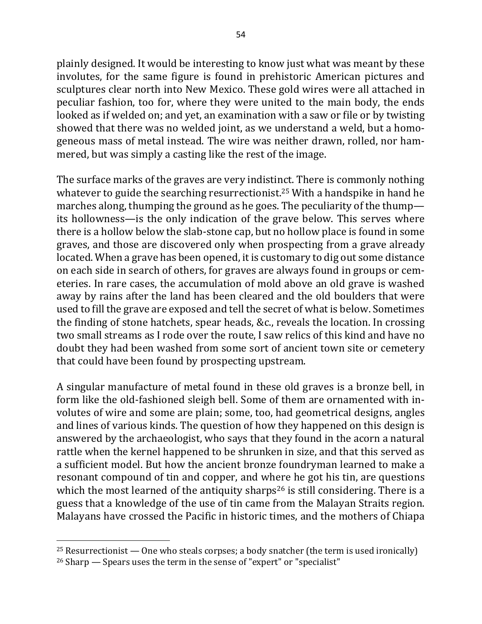plainly designed. It would be interesting to know just what was meant by these involutes, for the same figure is found in prehistoric American pictures and sculptures clear north into New Mexico. These gold wires were all attached in peculiar fashion, too for, where they were united to the main body, the ends looked as if welded on; and yet, an examination with a saw or file or by twisting showed that there was no welded joint, as we understand a weld, but a homogeneous mass of metal instead. The wire was neither drawn, rolled, nor hammered, but was simply a casting like the rest of the image.

The surface marks of the graves are very indistinct. There is commonly nothing whatever to guide the searching resurrectionist.<sup>25</sup> With a handspike in hand he marches along, thumping the ground as he goes. The peculiarity of the thump its hollowness—is the only indication of the grave below. This serves where there is a hollow below the slab-stone cap, but no hollow place is found in some graves, and those are discovered only when prospecting from a grave already located. When a grave has been opened, it is customary to dig out some distance on each side in search of others, for graves are always found in groups or cemeteries. In rare cases, the accumulation of mold above an old grave is washed away by rains after the land has been cleared and the old boulders that were used to fill the grave are exposed and tell the secret of what is below. Sometimes the finding of stone hatchets, spear heads, &c., reveals the location. In crossing two small streams as I rode over the route, I saw relics of this kind and have no doubt they had been washed from some sort of ancient town site or cemetery that could have been found by prospecting upstream.

A singular manufacture of metal found in these old graves is a bronze bell, in form like the old-fashioned sleigh bell. Some of them are ornamented with involutes of wire and some are plain; some, too, had geometrical designs, angles and lines of various kinds. The question of how they happened on this design is answered by the archaeologist, who says that they found in the acorn a natural rattle when the kernel happened to be shrunken in size, and that this served as a sufficient model. But how the ancient bronze foundryman learned to make a resonant compound of tin and copper, and where he got his tin, are questions which the most learned of the antiquity sharps<sup>26</sup> is still considering. There is a guess that a knowledge of the use of tin came from the Malayan Straits region. Malayans have crossed the Pacific in historic times, and the mothers of Chiapa

<sup>&</sup>lt;sup>25</sup> Resurrectionist — One who steals corpses; a body snatcher (the term is used ironically)

 $26$  Sharp  $-$  Spears uses the term in the sense of "expert" or "specialist"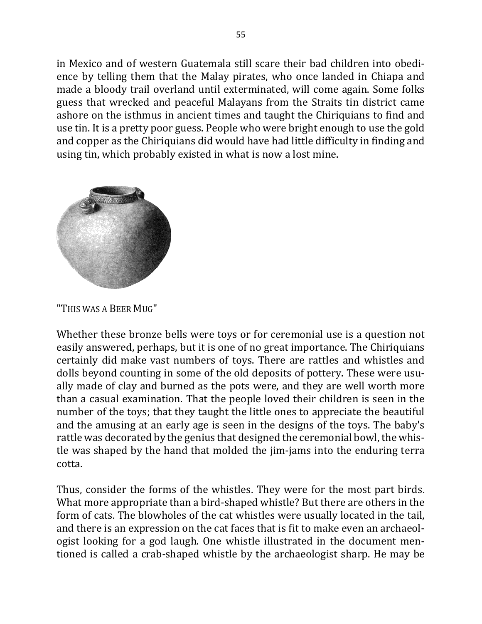in Mexico and of western Guatemala still scare their bad children into obedience by telling them that the Malay pirates, who once landed in Chiapa and made a bloody trail overland until exterminated, will come again. Some folks guess that wrecked and peaceful Malayans from the Straits tin district came ashore on the isthmus in ancient times and taught the Chiriquians to find and use tin. It is a pretty poor guess. People who were bright enough to use the gold and copper as the Chiriquians did would have had little difficulty in finding and using tin, which probably existed in what is now a lost mine.



"THIS WAS A BEER MUG"

Whether these bronze bells were toys or for ceremonial use is a question not easily answered, perhaps, but it is one of no great importance. The Chiriquians certainly did make vast numbers of toys. There are rattles and whistles and dolls beyond counting in some of the old deposits of pottery. These were usually made of clay and burned as the pots were, and they are well worth more than a casual examination. That the people loved their children is seen in the number of the toys; that they taught the little ones to appreciate the beautiful and the amusing at an early age is seen in the designs of the toys. The baby's rattle was decorated by the genius that designed the ceremonial bowl, the whistle was shaped by the hand that molded the jim-jams into the enduring terra cotta.

Thus, consider the forms of the whistles. They were for the most part birds. What more appropriate than a bird-shaped whistle? But there are others in the form of cats. The blowholes of the cat whistles were usually located in the tail, and there is an expression on the cat faces that is fit to make even an archaeologist looking for a god laugh. One whistle illustrated in the document mentioned is called a crab-shaped whistle by the archaeologist sharp. He may be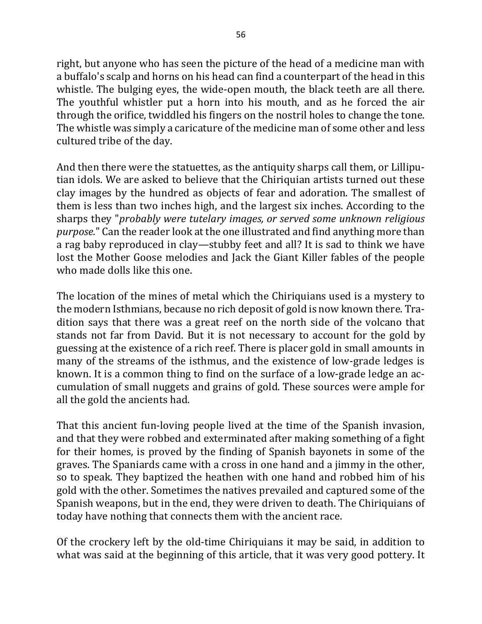right, but anyone who has seen the picture of the head of a medicine man with

a buffalo's scalp and horns on his head can find a counterpart of the head in this whistle. The bulging eyes, the wide-open mouth, the black teeth are all there. The youthful whistler put a horn into his mouth, and as he forced the air through the orifice, twiddled his fingers on the nostril holes to change the tone. The whistle was simply a caricature of the medicine man of some other and less cultured tribe of the day.

And then there were the statuettes, as the antiquity sharps call them, or Lilliputian idols. We are asked to believe that the Chiriquian artists turned out these clay images by the hundred as objects of fear and adoration. The smallest of them is less than two inches high, and the largest six inches. According to the sharps they "*probably were tutelary images, or served some unknown religious purpose.*" Can the reader look at the one illustrated and find anything more than a rag baby reproduced in clay—stubby feet and all? It is sad to think we have lost the Mother Goose melodies and Jack the Giant Killer fables of the people who made dolls like this one.

The location of the mines of metal which the Chiriquians used is a mystery to the modern Isthmians, because no rich deposit of gold is now known there. Tradition says that there was a great reef on the north side of the volcano that stands not far from David. But it is not necessary to account for the gold by guessing at the existence of a rich reef. There is placer gold in small amounts in many of the streams of the isthmus, and the existence of low-grade ledges is known. It is a common thing to find on the surface of a low-grade ledge an accumulation of small nuggets and grains of gold. These sources were ample for all the gold the ancients had.

That this ancient fun-loving people lived at the time of the Spanish invasion, and that they were robbed and exterminated after making something of a fight for their homes, is proved by the finding of Spanish bayonets in some of the graves. The Spaniards came with a cross in one hand and a jimmy in the other, so to speak. They baptized the heathen with one hand and robbed him of his gold with the other. Sometimes the natives prevailed and captured some of the Spanish weapons, but in the end, they were driven to death. The Chiriquians of today have nothing that connects them with the ancient race.

Of the crockery left by the old-time Chiriquians it may be said, in addition to what was said at the beginning of this article, that it was very good pottery. It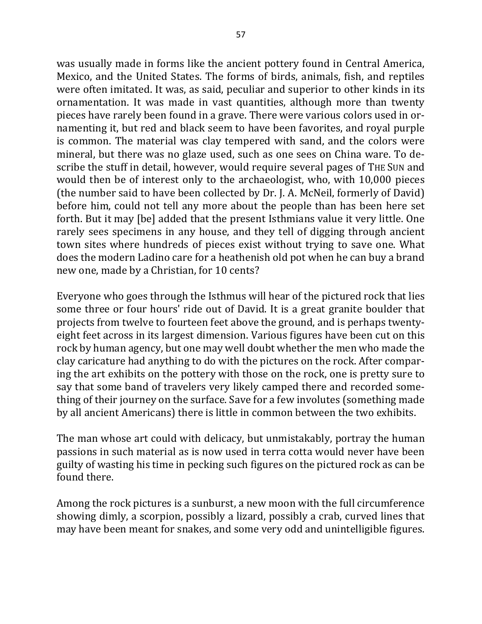was usually made in forms like the ancient pottery found in Central America, Mexico, and the United States. The forms of birds, animals, fish, and reptiles were often imitated. It was, as said, peculiar and superior to other kinds in its ornamentation. It was made in vast quantities, although more than twenty pieces have rarely been found in a grave. There were various colors used in ornamenting it, but red and black seem to have been favorites, and royal purple is common. The material was clay tempered with sand, and the colors were mineral, but there was no glaze used, such as one sees on China ware. To describe the stuff in detail, however, would require several pages of THE SUN and would then be of interest only to the archaeologist, who, with 10,000 pieces (the number said to have been collected by Dr. J. A. McNeil, formerly of David) before him, could not tell any more about the people than has been here set forth. But it may [be] added that the present Isthmians value it very little. One rarely sees specimens in any house, and they tell of digging through ancient town sites where hundreds of pieces exist without trying to save one. What does the modern Ladino care for a heathenish old pot when he can buy a brand new one, made by a Christian, for 10 cents?

Everyone who goes through the Isthmus will hear of the pictured rock that lies some three or four hours' ride out of David. It is a great granite boulder that projects from twelve to fourteen feet above the ground, and is perhaps twentyeight feet across in its largest dimension. Various figures have been cut on this rock by human agency, but one may well doubt whether the men who made the clay caricature had anything to do with the pictures on the rock. After comparing the art exhibits on the pottery with those on the rock, one is pretty sure to say that some band of travelers very likely camped there and recorded something of their journey on the surface. Save for a few involutes (something made by all ancient Americans) there is little in common between the two exhibits.

The man whose art could with delicacy, but unmistakably, portray the human passions in such material as is now used in terra cotta would never have been guilty of wasting his time in pecking such figures on the pictured rock as can be found there.

Among the rock pictures is a sunburst, a new moon with the full circumference showing dimly, a scorpion, possibly a lizard, possibly a crab, curved lines that may have been meant for snakes, and some very odd and unintelligible figures.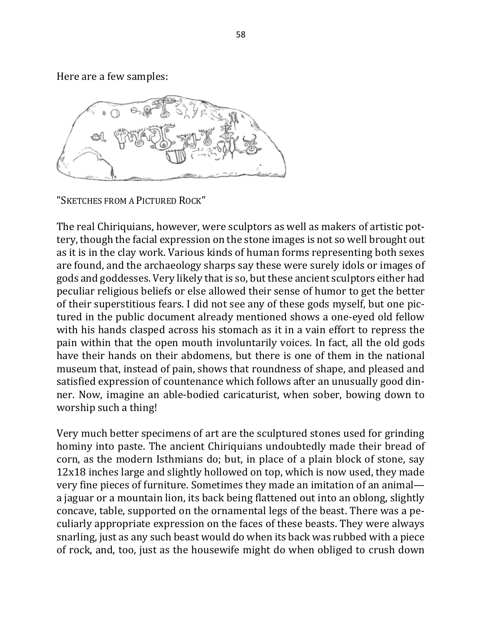Here are a few samples:



"SKETCHES FROM A PICTURED ROCK"

The real Chiriquians, however, were sculptors as well as makers of artistic pottery, though the facial expression on the stone images is not so well brought out as it is in the clay work. Various kinds of human forms representing both sexes are found, and the archaeology sharps say these were surely idols or images of gods and goddesses. Very likely that is so, but these ancient sculptors either had peculiar religious beliefs or else allowed their sense of humor to get the better of their superstitious fears. I did not see any of these gods myself, but one pictured in the public document already mentioned shows a one-eyed old fellow with his hands clasped across his stomach as it in a vain effort to repress the pain within that the open mouth involuntarily voices. In fact, all the old gods have their hands on their abdomens, but there is one of them in the national museum that, instead of pain, shows that roundness of shape, and pleased and satisfied expression of countenance which follows after an unusually good dinner. Now, imagine an able-bodied caricaturist, when sober, bowing down to worship such a thing!

Very much better specimens of art are the sculptured stones used for grinding hominy into paste. The ancient Chiriquians undoubtedly made their bread of corn, as the modern Isthmians do; but, in place of a plain block of stone, say 12x18 inches large and slightly hollowed on top, which is now used, they made very fine pieces of furniture. Sometimes they made an imitation of an animal a jaguar or a mountain lion, its back being flattened out into an oblong, slightly concave, table, supported on the ornamental legs of the beast. There was a peculiarly appropriate expression on the faces of these beasts. They were always snarling, just as any such beast would do when its back was rubbed with a piece of rock, and, too, just as the housewife might do when obliged to crush down